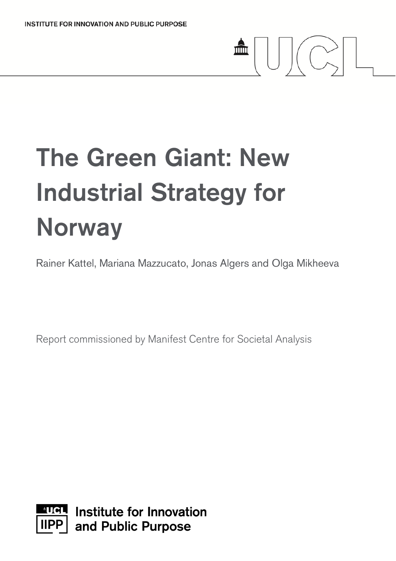# The Green Giant: New Industrial Strategy for **Norway**

Rainer Kattel, Mariana Mazzucato, Jonas Algers and Olga Mikheeva

血

 $\bigcup \bigcup \biggl( \bigcirc \hspace{-0.25ex}\raisebox{-0.27ex}{\frown}\hspace{-0.25ex}\raisebox{-0.27ex}{\frown}\hspace{-0.25ex}\raisebox{-0.27ex}{\frown}\hspace{-0.25ex}\raisebox{-0.27ex}{\frown}\hspace{-0.25ex}\raisebox{-0.27ex}{\frown}\hspace{-0.25ex}\raisebox{-0.27ex}{\frown}\hspace{-0.25ex}\raisebox{-0.27ex}{\frown}\hspace{-0.25ex}\raisebox{-0.27ex}{\frown}\hspace{-0.25ex}\raisebox{-0.27ex}{\frown}\hspace{-0.25ex$ 

Report commissioned by Manifest Centre for Societal Analysis

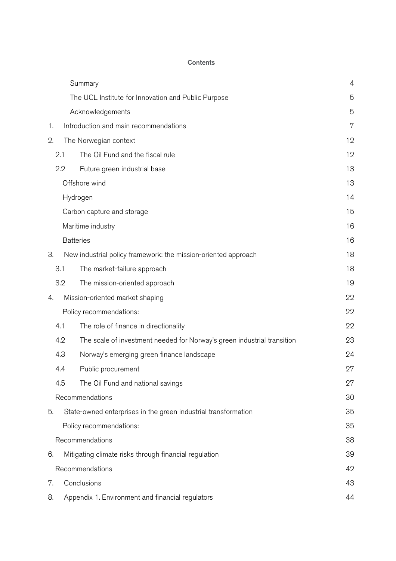#### **Contents**

|                 |                                                       | Summary                                                                 | $\overline{4}$ |  |  |
|-----------------|-------------------------------------------------------|-------------------------------------------------------------------------|----------------|--|--|
|                 |                                                       | The UCL Institute for Innovation and Public Purpose                     | 5              |  |  |
|                 |                                                       | Acknowledgements                                                        | 5              |  |  |
| 1.              |                                                       | Introduction and main recommendations                                   | 7              |  |  |
| 2.              |                                                       | The Norwegian context                                                   | 12             |  |  |
|                 | 2.1                                                   | The Oil Fund and the fiscal rule                                        | 12             |  |  |
|                 | 2.2                                                   | Future green industrial base                                            | 13             |  |  |
|                 |                                                       | Offshore wind                                                           | 13             |  |  |
|                 |                                                       | Hydrogen                                                                |                |  |  |
|                 | Carbon capture and storage                            |                                                                         |                |  |  |
|                 |                                                       | Maritime industry                                                       | 16             |  |  |
|                 |                                                       | <b>Batteries</b>                                                        | 16             |  |  |
| З.              |                                                       | New industrial policy framework: the mission-oriented approach          | 18             |  |  |
|                 | 3.1                                                   | The market-failure approach                                             | 18             |  |  |
|                 | 3.2                                                   | The mission-oriented approach                                           | 19             |  |  |
| 4.              |                                                       | Mission-oriented market shaping                                         | 22             |  |  |
|                 |                                                       | Policy recommendations:                                                 | 22             |  |  |
|                 | 4.1                                                   | The role of finance in directionality                                   | 22             |  |  |
|                 | 4.2                                                   | The scale of investment needed for Norway's green industrial transition | 23             |  |  |
|                 | 4.3                                                   | Norway's emerging green finance landscape                               | 24             |  |  |
|                 | 4.4                                                   | Public procurement                                                      | 27             |  |  |
|                 | 4.5                                                   | The Oil Fund and national savings                                       | 27             |  |  |
|                 |                                                       | Recommendations                                                         | 30             |  |  |
| 5.              |                                                       | State-owned enterprises in the green industrial transformation          | 35             |  |  |
|                 |                                                       | Policy recommendations:                                                 | 35             |  |  |
| Recommendations |                                                       |                                                                         |                |  |  |
| 6.              | Mitigating climate risks through financial regulation |                                                                         |                |  |  |
| Recommendations |                                                       |                                                                         |                |  |  |
| 7.              | Conclusions                                           |                                                                         |                |  |  |
| 8.              | Appendix 1. Environment and financial regulators      |                                                                         |                |  |  |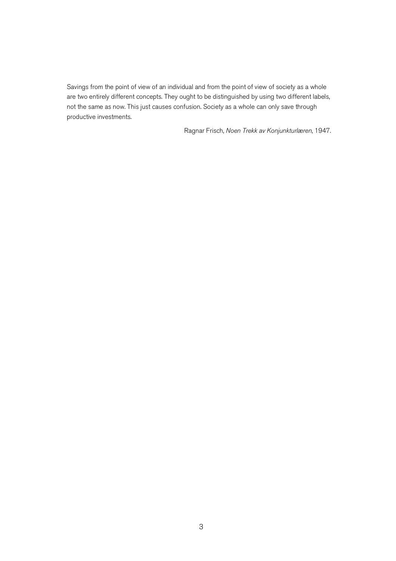Savings from the point of view of an individual and from the point of view of society as a whole are two entirely different concepts. They ought to be distinguished by using two different labels, not the same as now. This just causes confusion. Society as a whole can only save through productive investments.

Ragnar Frisch, *Noen Trekk av Konjunkturlæren*, 1947.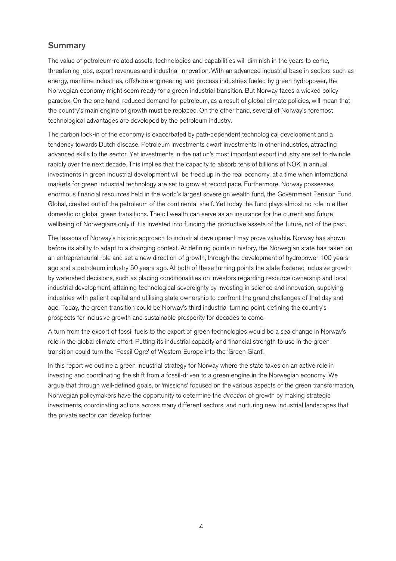#### Summary

The value of petroleum-related assets, technologies and capabilities will diminish in the years to come, threatening jobs, export revenues and industrial innovation. With an advanced industrial base in sectors such as energy, maritime industries, offshore engineering and process industries fueled by green hydropower, the Norwegian economy might seem ready for a green industrial transition. But Norway faces a wicked policy paradox. On the one hand, reduced demand for petroleum, as a result of global climate policies, will mean that the country's main engine of growth must be replaced. On the other hand, several of Norway's foremost technological advantages are developed by the petroleum industry.

The carbon lock-in of the economy is exacerbated by path-dependent technological development and a tendency towards Dutch disease. Petroleum investments dwarf investments in other industries, attracting advanced skills to the sector. Yet investments in the nation's most important export industry are set to dwindle rapidly over the next decade. This implies that the capacity to absorb tens of billions of NOK in annual investments in green industrial development will be freed up in the real economy, at a time when international markets for green industrial technology are set to grow at record pace. Furthermore, Norway possesses enormous financial resources held in the world's largest sovereign wealth fund, the Government Pension Fund Global, created out of the petroleum of the continental shelf. Yet today the fund plays almost no role in either domestic or global green transitions. The oil wealth can serve as an insurance for the current and future wellbeing of Norwegians only if it is invested into funding the productive assets of the future, not of the past.

The lessons of Norway's historic approach to industrial development may prove valuable. Norway has shown before its ability to adapt to a changing context. At defining points in history, the Norwegian state has taken on an entrepreneurial role and set a new direction of growth, through the development of hydropower 100 years ago and a petroleum industry 50 years ago. At both of these turning points the state fostered inclusive growth by watershed decisions, such as placing conditionalities on investors regarding resource ownership and local industrial development, attaining technological sovereignty by investing in science and innovation, supplying industries with patient capital and utilising state ownership to confront the grand challenges of that day and age. Today, the green transition could be Norway's third industrial turning point, defining the country's prospects for inclusive growth and sustainable prosperity for decades to come.

A turn from the export of fossil fuels to the export of green technologies would be a sea change in Norway's role in the global climate effort. Putting its industrial capacity and financial strength to use in the green transition could turn the 'Fossil Ogre' of Western Europe into the 'Green Giant'.

In this report we outline a green industrial strategy for Norway where the state takes on an active role in investing and coordinating the shift from a fossil-driven to a green engine in the Norwegian economy. We argue that through well-defined goals, or 'missions' focused on the various aspects of the green transformation, Norwegian policymakers have the opportunity to determine the *direction* of growth by making strategic investments, coordinating actions across many different sectors, and nurturing new industrial landscapes that the private sector can develop further.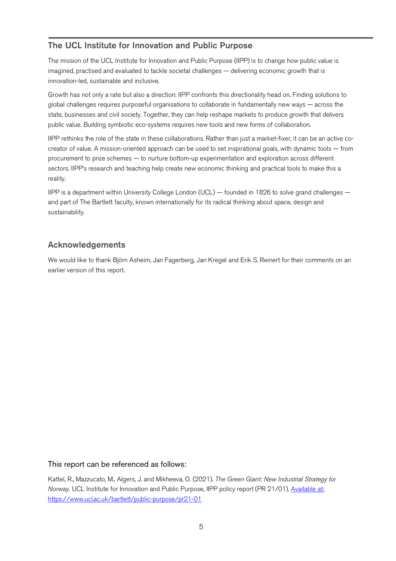## The UCL Institute for Innovation and Public Purpose

The mission of the UCL Institute for Innovation and Public Purpose (IIPP) is to change how public value is imagined, practised and evaluated to tackle societal challenges — delivering economic growth that is innovation-led, sustainable and inclusive.

Growth has not only a rate but also a direction: IIPP confronts this directionality head on. Finding solutions to global challenges requires purposeful organisations to collaborate in fundamentally new ways — across the state, businesses and civil society. Together, they can help reshape markets to produce growth that delivers public value. Building symbiotic eco-systems requires new tools and new forms of collaboration.

IIPP rethinks the role of the state in these collaborations. Rather than just a market-fixer, it can be an active cocreator of value. A mission-oriented approach can be used to set inspirational goals, with dynamic tools — from procurement to prize schemes — to nurture bottom-up experimentation and exploration across different sectors. IIPP's research and teaching help create new economic thinking and practical tools to make this a reality.

IIPP is a department within University College London (UCL) — founded in 1826 to solve grand challenges and part of The Bartlett faculty, known internationally for its radical thinking about space, design and sustainability.

## Acknowledgements

We would like to thank Björn Asheim, Jan Fagerberg, Jan Kregel and Erik S. Reinert for their comments on an earlier version of this report.

#### This report can be referenced as follows:

Kattel, R., Mazzucato, M., Algers, J. and Mikheeva, O. (2021). *The Green Giant: New Industrial Strategy for Norway.* UCL Institute for Innovation and Public Purpose, IIPP policy report (PR 21/01). Available at: https://www.ucl.ac.uk/bartlett/public-purpose/pr21-01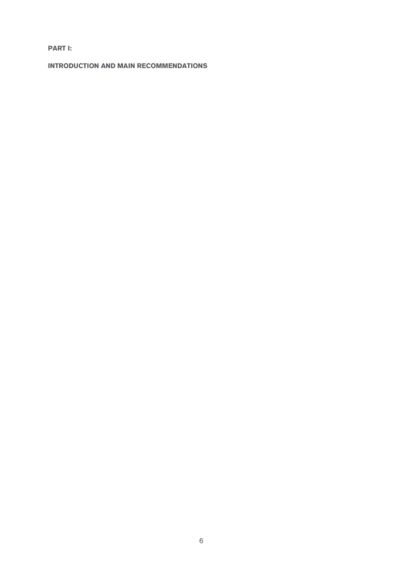**PART I:**

**INTRODUCTION AND MAIN RECOMMENDATIONS**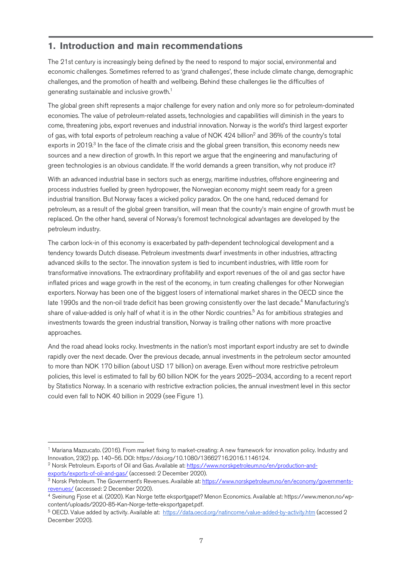## **1. Introduction and main recommendations**

The 21st century is increasingly being defined by the need to respond to major social, environmental and economic challenges. Sometimes referred to as 'grand challenges', these include climate change, demographic challenges, and the promotion of health and wellbeing. Behind these challenges lie the difficulties of generating sustainable and inclusive growth.1

The global green shift represents a major challenge for every nation and only more so for petroleum-dominated economies. The value of petroleum-related assets, technologies and capabilities will diminish in the years to come, threatening jobs, export revenues and industrial innovation. Norway is the world's third largest exporter of gas, with total exports of petroleum reaching a value of NOK 424 billion<sup>2</sup> and 36% of the country's total exports in 2019.<sup>3</sup> In the face of the climate crisis and the global green transition, this economy needs new sources and a new direction of growth. In this report we argue that the engineering and manufacturing of green technologies is an obvious candidate. If the world demands a green transition, why not produce it?

With an advanced industrial base in sectors such as energy, maritime industries, offshore engineering and process industries fuelled by green hydropower, the Norwegian economy might seem ready for a green industrial transition. But Norway faces a wicked policy paradox. On the one hand, reduced demand for petroleum, as a result of the global green transition, will mean that the country's main engine of growth must be replaced. On the other hand, several of Norway's foremost technological advantages are developed by the petroleum industry.

The carbon lock-in of this economy is exacerbated by path-dependent technological development and a tendency towards Dutch disease. Petroleum investments dwarf investments in other industries, attracting advanced skills to the sector. The innovation system is tied to incumbent industries, with little room for transformative innovations. The extraordinary profitability and export revenues of the oil and gas sector have inflated prices and wage growth in the rest of the economy, in turn creating challenges for other Norwegian exporters. Norway has been one of the biggest losers of international market shares in the OECD since the late 1990s and the non-oil trade deficit has been growing consistently over the last decade.<sup>4</sup> Manufacturing's share of value-added is only half of what it is in the other Nordic countries.<sup>5</sup> As for ambitious strategies and investments towards the green industrial transition, Norway is trailing other nations with more proactive approaches.

And the road ahead looks rocky. Investments in the nation's most important export industry are set to dwindle rapidly over the next decade. Over the previous decade, annual investments in the petroleum sector amounted to more than NOK 170 billion (about USD 17 billion) on average. Even without more restrictive petroleum policies, this level is estimated to fall by 60 billion NOK for the years 2025–2034, according to a recent report by Statistics Norway. In a scenario with restrictive extraction policies, the annual investment level in this sector could even fall to NOK 40 billion in 2029 (see Figure 1).

 <sup>1</sup> Mariana Mazzucato. (2016). From market fixing to market-creating: A new framework for innovation policy. Industry and Innovation, 23(2) pp. 140–56. DOI: https://doi.org/10.1080/13662716.2016.1146124.

<sup>&</sup>lt;sup>2</sup> Norsk Petroleum. Exports of Oil and Gas. Available at: https://www.norskpetroleum.no/en/production-andexports/exports-of-oil-and-gas/ (accessed: 2 December 2020).

<sup>&</sup>lt;sup>3</sup> Norsk Petroleum. The Government's Revenues. Available at: https://www.norskpetroleum.no/en/economy/governmentsrevenues/ (accessed: 2 December 2020).

<sup>4</sup> Sveinung Fjose et al. (2020). Kan Norge tette eksportgapet? Menon Economics. Available at: https://www.menon.no/wpcontent/uploads/2020-85-Kan-Norge-tette-eksportgapet.pdf.

<sup>5</sup> OECD. Value added by activity. Available at: https://data.oecd.org/natincome/value-added-by-activity.htm (accessed 2 December 2020).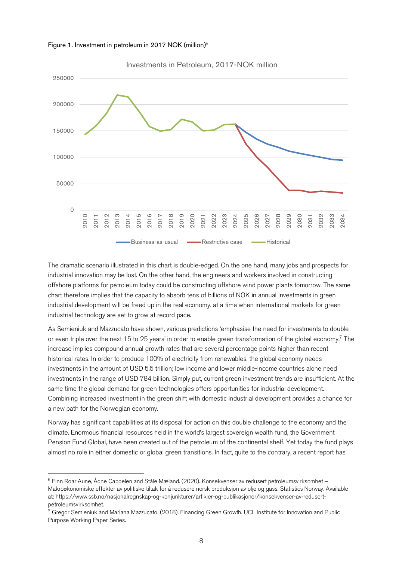

Figure 1. Investment in petroleum in 2017 NOK (million)<sup>6</sup>

The dramatic scenario illustrated in this chart is double-edged. On the one hand, many jobs and prospects for industrial innovation may be lost. On the other hand, the engineers and workers involved in constructing offshore platforms for petroleum today could be constructing offshore wind power plants tomorrow. The same chart therefore implies that the capacity to absorb tens of billions of NOK in annual investments in green industrial development will be freed up in the real economy, at a time when international markets for green industrial technology are set to grow at record pace.

As Semieniuk and Mazzucato have shown, various predictions 'emphasise the need for investments to double or even triple over the next 15 to 25 years' in order to enable green transformation of the global economy.<sup>7</sup> The increase implies compound annual growth rates that are several percentage points higher than recent historical rates. In order to produce 100% of electricity from renewables, the global economy needs investments in the amount of USD 5.5 trillion; low income and lower middle-income countries alone need investments in the range of USD 784 billion. Simply put, current green investment trends are insufficient. At the same time the global demand for green technologies offers opportunities for industrial development. Combining increased investment in the green shift with domestic industrial development provides a chance for a new path for the Norwegian economy.

Norway has significant capabilities at its disposal for action on this double challenge to the economy and the climate. Enormous financial resources held in the world's largest sovereign wealth fund, the Government Pension Fund Global, have been created out of the petroleum of the continental shelf. Yet today the fund plays almost no role in either domestic or global green transitions. In fact, quite to the contrary, a recent report has

 <sup>6</sup> Finn Roar Aune, Ådne Cappelen and Ståle Mæland. (2020). Konsekvenser av redusert petroleumsvirksomhet – Makroøkonomiske effekter av politiske tiltak for å redusere norsk produksjon av olje og gass. Statistics Norway. Available at: https://www.ssb.no/nasjonalregnskap-og-konjunkturer/artikler-og-publikasjoner/konsekvenser-av-redusertpetroleumsvirksomhet.

 $7$  Gregor Semieniuk and Mariana Mazzucato. (2018). Financing Green Growth. UCL Institute for Innovation and Public Purpose Working Paper Series.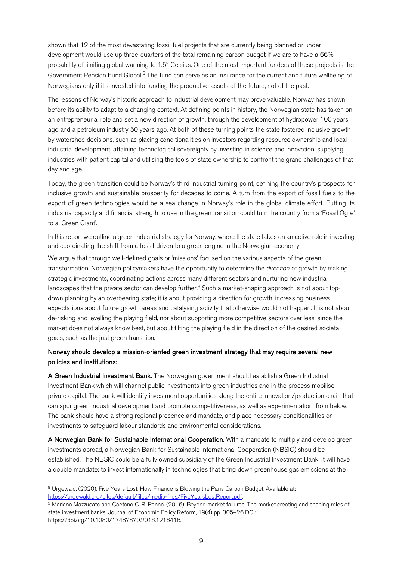shown that 12 of the most devastating fossil fuel projects that are currently being planned or under development would use up three-quarters of the total remaining carbon budget if we are to have a 66% probability of limiting global warming to 1.5° Celsius. One of the most important funders of these projects is the Government Pension Fund Global.<sup>8</sup> The fund can serve as an insurance for the current and future wellbeing of Norwegians only if it's invested into funding the productive assets of the future, not of the past.

The lessons of Norway's historic approach to industrial development may prove valuable. Norway has shown before its ability to adapt to a changing context. At defining points in history, the Norwegian state has taken on an entrepreneurial role and set a new direction of growth, through the development of hydropower 100 years ago and a petroleum industry 50 years ago. At both of these turning points the state fostered inclusive growth by watershed decisions, such as placing conditionalities on investors regarding resource ownership and local industrial development, attaining technological sovereignty by investing in science and innovation, supplying industries with patient capital and utilising the tools of state ownership to confront the grand challenges of that day and age.

Today, the green transition could be Norway's third industrial turning point, defining the country's prospects for inclusive growth and sustainable prosperity for decades to come. A turn from the export of fossil fuels to the export of green technologies would be a sea change in Norway's role in the global climate effort. Putting its industrial capacity and financial strength to use in the green transition could turn the country from a 'Fossil Ogre' to a 'Green Giant'.

In this report we outline a green industrial strategy for Norway, where the state takes on an active role in investing and coordinating the shift from a fossil-driven to a green engine in the Norwegian economy.

We argue that through well-defined goals or 'missions' focused on the various aspects of the green transformation, Norwegian policymakers have the opportunity to determine the *direction* of growth by making strategic investments, coordinating actions across many different sectors and nurturing new industrial landscapes that the private sector can develop further.<sup>9</sup> Such a market-shaping approach is not about topdown planning by an overbearing state; it is about providing a direction for growth, increasing business expectations about future growth areas and catalysing activity that otherwise would not happen. It is not about de-risking and levelling the playing field, nor about supporting more competitive sectors over less, since the market does not always know best, but about tilting the playing field in the direction of the desired societal goals, such as the just green transition.

#### Norway should develop a mission-oriented green investment strategy that may require several new policies and institutions:

A Green Industrial Investment Bank. The Norwegian government should establish a Green Industrial Investment Bank which will channel public investments into green industries and in the process mobilise private capital. The bank will identify investment opportunities along the entire innovation/production chain that can spur green industrial development and promote competitiveness, as well as experimentation, from below. The bank should have a strong regional presence and mandate, and place necessary conditionalities on investments to safeguard labour standards and environmental considerations.

A Norwegian Bank for Sustainable International Cooperation. With a mandate to multiply and develop green investments abroad, a Norwegian Bank for Sustainable International Cooperation (NBSIC) should be established. The NBSIC could be a fully owned subsidiary of the Green Industrial Investment Bank. It will have a double mandate: to invest internationally in technologies that bring down greenhouse gas emissions at the

<sup>8</sup> Urgewald. (2020). Five Years Lost. How Finance is Blowing the Paris Carbon Budget. Available at:

https://urgewald.org/sites/default/files/media-files/FiveYearsLostReport.pdf.<br><sup>9</sup> Mariana Mazzucato and Caetano C. R. Penna. (2016). Beyond market failures: The market creating and shaping roles of state investment banks. Journal of Economic Policy Reform, 19(4) pp. 305–26 DOI: https://doi.org/10.1080/17487870.2016.1216416.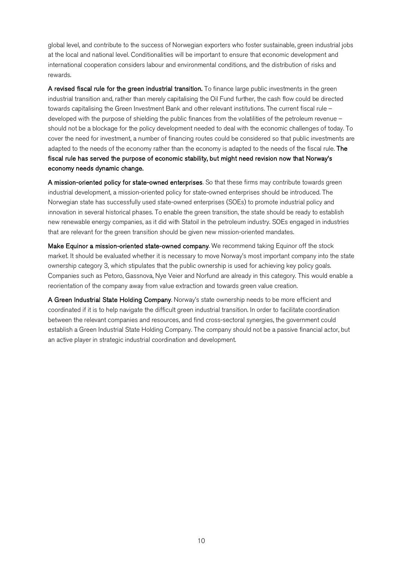global level, and contribute to the success of Norwegian exporters who foster sustainable, green industrial jobs at the local and national level. Conditionalities will be important to ensure that economic development and international cooperation considers labour and environmental conditions, and the distribution of risks and rewards.

A revised fiscal rule for the green industrial transition. To finance large public investments in the green industrial transition and, rather than merely capitalising the Oil Fund further, the cash flow could be directed towards capitalising the Green Investment Bank and other relevant institutions. The current fiscal rule – developed with the purpose of shielding the public finances from the volatilities of the petroleum revenue – should not be a blockage for the policy development needed to deal with the economic challenges of today. To cover the need for investment, a number of financing routes could be considered so that public investments are adapted to the needs of the economy rather than the economy is adapted to the needs of the fiscal rule. The fiscal rule has served the purpose of economic stability, but might need revision now that Norway's economy needs dynamic change.

A mission-oriented policy for state-owned enterprises. So that these firms may contribute towards green industrial development, a mission-oriented policy for state-owned enterprises should be introduced. The Norwegian state has successfully used state-owned enterprises (SOEs) to promote industrial policy and innovation in several historical phases. To enable the green transition, the state should be ready to establish new renewable energy companies, as it did with Statoil in the petroleum industry. SOEs engaged in industries that are relevant for the green transition should be given new mission-oriented mandates.

Make Equinor a mission-oriented state-owned company. We recommend taking Equinor off the stock market. It should be evaluated whether it is necessary to move Norway's most important company into the state ownership category 3, which stipulates that the public ownership is used for achieving key policy goals. Companies such as Petoro, Gassnova, Nye Veier and Norfund are already in this category. This would enable a reorientation of the company away from value extraction and towards green value creation.

A Green Industrial State Holding Company. Norway's state ownership needs to be more efficient and coordinated if it is to help navigate the difficult green industrial transition. In order to facilitate coordination between the relevant companies and resources, and find cross-sectoral synergies, the government could establish a Green Industrial State Holding Company. The company should not be a passive financial actor, but an active player in strategic industrial coordination and development.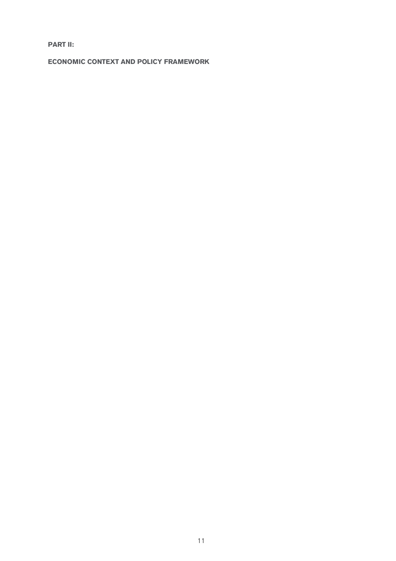**PART II:**

**ECONOMIC CONTEXT AND POLICY FRAMEWORK**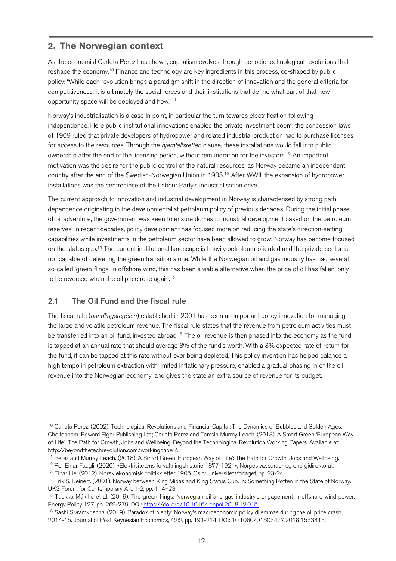## **2. The Norwegian context**

As the economist Carlota Perez has shown, capitalism evolves through periodic technological revolutions that reshape the economy.10 Finance and technology are key ingredients in this process, co-shaped by public policy: "While each revolution brings a paradigm shift in the direction of innovation and the general criteria for competitiveness, it is ultimately the social forces and their institutions that define what part of that new opportunity space will be deployed and how."<sup>11</sup>

Norway's industrialisation is a case in point, in particular the turn towards electrification following independence. Here public institutional innovations enabled the private investment boom: the concession laws of 1909 ruled that private developers of hydropower and related industrial production had to purchase licenses for access to the resources. Through the *hjemfallsretten* clause, these installations would fall into public ownership after the end of the licensing period, without remuneration for the investors.12 An important motivation was the desire for the public control of the natural resources, as Norway became an independent country after the end of the Swedish-Norwegian Union in 1905.13 After WWII, the expansion of hydropower installations was the centrepiece of the Labour Party's industrialisation drive.

The current approach to innovation and industrial development in Norway is characterised by strong path dependence originating in the developmentalist petroleum policy of previous decades. During the initial phase of oil adventure, the government was keen to ensure domestic industrial development based on the petroleum reserves. In recent decades, policy development has focused more on reducing the state's direction-setting capabilities while investments in the petroleum sector have been allowed to grow; Norway has become focused on the status quo.14 The current institutional landscape is heavily petroleum-oriented and the private sector is not capable of delivering the green transition alone. While the Norwegian oil and gas industry has had several so-called 'green flings' in offshore wind, this has been a viable alternative when the price of oil has fallen, only to be reversed when the oil price rose again.15

## 2.1 The Oil Fund and the fiscal rule

The fiscal rule (*handlingsregelen*) established in 2001 has been an important policy innovation for managing the large and volatile petroleum revenue. The fiscal rule states that the revenue from petroleum activities must be transferred into an oil fund, invested abroad.<sup>16</sup> The oil revenue is then phased into the economy as the fund is tapped at an annual rate that should average 3% of the fund's worth. With a 3% expected rate of return for the fund, it can be tapped at this rate without ever being depleted. This policy invention has helped balance a high tempo in petroleum extraction with limited inflationary pressure, enabled a gradual phasing in of the oil revenue into the Norwegian economy, and gives the state an extra source of revenue for its budget.

<sup>&</sup>lt;sup>10</sup> Carlota Perez. (2002). Technological Revolutions and Financial Capital: The Dynamics of Bubbles and Golden Ages. Cheltenham: Edward Elgar Publishing Ltd; Carlota Perez and Tamsin Murray Leach. (2018). A Smart Green 'European Way of Life': The Path for Growth, Jobs and Wellbeing. Beyond the Technological Revolution Working Papers. Available at: http://beyondthetechrevolution.com/workingpaper/.

<sup>&</sup>lt;sup>11</sup> Perez and Murray Leach. (2018). A Smart Green 'European Way of Life': The Path for Growth, Jobs and Wellbeing.

<sup>12</sup> Per Einar Faugli. (2020). «Elektrisitetens forvaltningshistorie 1877-1921», Norges vassdrag- og energidirektorat.

<sup>13</sup> Einar Lie. (2012). Norsk økonomisk politikk etter 1905. Oslo: Universitetsforlaget, pp. 23-24.

<sup>&</sup>lt;sup>14</sup> Erik S. Reinert. (2001). Norway between King Midas and King Status Quo. In: Something Rotten in the State of Norway. UKS Forum for Contemporary Art, 1-2, pp. 114–23.

<sup>&</sup>lt;sup>15</sup> Tuukka Mäkitie et al. (2019). The green flings: Norwegian oil and gas industry's engagement in offshore wind power. Energy Policy 127, pp. 269-279. DOI: https://doi.org/10.1016/j.enpol.2018.12.015.

<sup>&</sup>lt;sup>16</sup> Sashi Sivramkrishna. (2019). Paradox of plenty: Norway's macroeconomic policy dilemmas during the oil price crash, 2014-15. Journal of Post Keynesian Economics, 42:2, pp. 191-214. DOI: 10.1080/01603477.2018.1533413.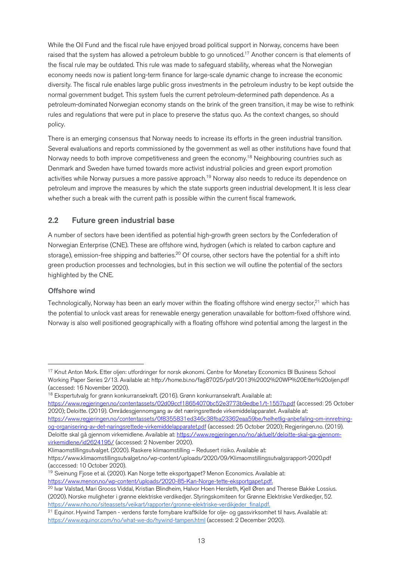While the Oil Fund and the fiscal rule have enjoyed broad political support in Norway, concerns have been raised that the system has allowed a petroleum bubble to go unnoticed.<sup>17</sup> Another concern is that elements of the fiscal rule may be outdated. This rule was made to safeguard stability, whereas what the Norwegian economy needs now is patient long-term finance for large-scale dynamic change to increase the economic diversity. The fiscal rule enables large public gross investments in the petroleum industry to be kept outside the normal government budget. This system fuels the current petroleum-determined path dependence. As a petroleum-dominated Norwegian economy stands on the brink of the green transition, it may be wise to rethink rules and regulations that were put in place to preserve the status quo. As the context changes, so should policy.

There is an emerging consensus that Norway needs to increase its efforts in the green industrial transition. Several evaluations and reports commissioned by the government as well as other institutions have found that Norway needs to both improve competitiveness and green the economy.<sup>18</sup> Neighbouring countries such as Denmark and Sweden have turned towards more activist industrial policies and green export promotion activities while Norway pursues a more passive approach.<sup>19</sup> Norway also needs to reduce its dependence on petroleum and improve the measures by which the state supports green industrial development. It is less clear whether such a break with the current path is possible within the current fiscal framework.

#### 2.2 Future green industrial base

A number of sectors have been identified as potential high-growth green sectors by the Confederation of Norwegian Enterprise (CNE). These are offshore wind, hydrogen (which is related to carbon capture and storage), emission-free shipping and batteries.<sup>20</sup> Of course, other sectors have the potential for a shift into green production processes and technologies, but in this section we will outline the potential of the sectors highlighted by the CNE.

#### Offshore wind

Technologically, Norway has been an early mover within the floating offshore wind energy sector,<sup>21</sup> which has the potential to unlock vast areas for renewable energy generation unavailable for bottom-fixed offshore wind. Norway is also well positioned geographically with a floating offshore wind potential among the largest in the

https://www.regjeringen.no/contentassets/02d09ccf18654070bc52e3773b9edbe1/t-1557b.pdf (accessed: 25 October 2020); Deloitte. (2019). Områdesgjennomgang av det næringsrettede virkemiddelapparatet. Available at:

- https://www.regjeringen.no/contentassets/0f8355831ed346c38fba23362eaa59be/helhetlig-anbefaling-om-innretningog-organisering-av-det-naringsrettede-virkemiddelapparatet.pdf (accessed: 25 October 2020); Regjeringen.no. (2019). Deloitte skal gå gjennom virkemidlene. Available at: https://www.regjeringen.no/no/aktuelt/deloitte-skal-ga-gjennomvirkemidlene/id2624195/ (accessed: 2 November 2020).
- Klimaomstillingsutvalget. (2020). Raskere klimaomstilling Redusert risiko. Available at:

<sup>&</sup>lt;sup>17</sup> Knut Anton Mork. Etter olien: utfordringer for norsk økonomi. Centre for Monetary Economics BI Business School Working Paper Series 2/13. Available at: http://home.bi.no/fag87025/pdf/2013%2002%20WP%20Etter%20oljen.pdf (accessed: 16 November 2020).

<sup>&</sup>lt;sup>18</sup> Ekspertutvalg for grønn konkurransekraft. (2016). Grønn konkurransekraft. Available at:

https://www.klimaomstillingsutvalget.no/wp-content/uploads/2020/09/Klimaomstillingsutvalgsrapport-2020.pdf (acccessed: 10 October 2020).

<sup>&</sup>lt;sup>19</sup> Sveinung Fjose et al. (2020). Kan Norge tette eksportgapet? Menon Economics. Available at: https://www.menon.no/wp-content/uploads/2020-85-Kan-Norge-tette-eksportgapet.pdf.

<sup>&</sup>lt;sup>20</sup> Ivar Valstad, Mari Grooss Viddal, Kristian Blindheim, Halvor Hoen Hersleth, Kjell Øren and Therese Bakke Lossius. (2020). Norske muligheter i grønne elektriske verdikedjer. Styringskomiteen for Grønne Elektriske Verdikedjer, 52. https://www.nho.no/siteassets/veikart/rapporter/gronne-elektriske-verdikjeder\_final.pdf.

<sup>21</sup> Equinor. Hywind Tampen - verdens første fornybare kraftkilde for olje- og gassvirksomhet til havs. Available at: https://www.equinor.com/no/what-we-do/hywind-tampen.html (accessed: 2 December 2020).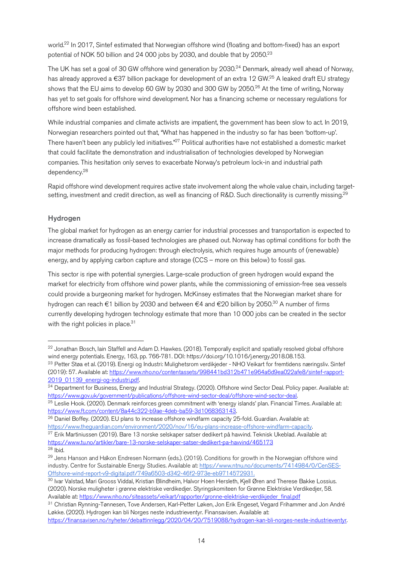world.<sup>22</sup> In 2017, Sintef estimated that Norwegian offshore wind (floating and bottom-fixed) has an export potential of NOK 50 billion and 24 000 jobs by 2030, and double that by 2050.<sup>23</sup>

The UK has set a goal of 30 GW offshore wind generation by 2030.<sup>24</sup> Denmark, already well ahead of Norway, has already approved a €37 billion package for development of an extra 12 GW.<sup>25</sup> A leaked draft EU strategy shows that the EU aims to develop 60 GW by 2030 and 300 GW by 2050.26 At the time of writing, Norway has yet to set goals for offshore wind development. Nor has a financing scheme or necessary regulations for offshore wind been established.

While industrial companies and climate activists are impatient, the government has been slow to act. In 2019, Norwegian researchers pointed out that, "What has happened in the industry so far has been 'bottom-up'. There haven't been any publicly led initiatives."<sup>27</sup> Political authorities have not established a domestic market that could facilitate the demonstration and industrialisation of technologies developed by Norwegian companies. This hesitation only serves to exacerbate Norway's petroleum lock-in and industrial path dependency.28

Rapid offshore wind development requires active state involvement along the whole value chain, including targetsetting, investment and credit direction, as well as financing of R&D. Such directionality is currently missing.<sup>29</sup>

#### **Hydrogen**

The global market for hydrogen as an energy carrier for industrial processes and transportation is expected to increase dramatically as fossil-based technologies are phased out. Norway has optimal conditions for both the major methods for producing hydrogen: through electrolysis, which requires huge amounts of (renewable) energy, and by applying carbon capture and storage (CCS – more on this below) to fossil gas.

This sector is ripe with potential synergies. Large-scale production of green hydrogen would expand the market for electricity from offshore wind power plants, while the commissioning of emission-free sea vessels could provide a burgeoning market for hydrogen. McKinsey estimates that the Norwegian market share for hydrogen can reach €1 billion by 2030 and between €4 and €20 billion by 2050.30 A number of firms currently developing hydrogen technology estimate that more than 10 000 jobs can be created in the sector with the right policies in place.<sup>31</sup>

<sup>&</sup>lt;sup>22</sup> Jonathan Bosch, Iain Staffell and Adam D. Hawkes. (2018). Temporally explicit and spatially resolved global offshore wind energy potentials. Energy, 163, pp. 766-781. DOI: https://doi.org/10.1016/j.energy.2018.08.153. <sup>23</sup> Petter Støa et al. (2019). Energi og Industri: Mulighetsrom verdikjeder - NHO Veikart for fremtidens næringsliv. Sintef (2019): 57. Available at: https://www.nho.no/contentassets/998441bd312b471e964a6d9ea022afe8/sintef-rapport-2019\_01139\_energi-og-industri.pdf.

<sup>&</sup>lt;sup>24</sup> Department for Business, Energy and Industrial Strategy. (2020). Offshore wind Sector Deal. Policy paper. Available at: https://www.gov.uk/government/publications/offshore-wind-sector-deal/offshore-wind-sector-deal.

<sup>&</sup>lt;sup>25</sup> Leslie Hook. (2020). Denmark reinforces green commitment with 'energy islands' plan. Financial Times. Available at: https://www.ft.com/content/8a44c322-b9ae-4deb-ba59-3d1068363143.

 $\overline{^{26}}$  Daniel Boffey. (2020). EU plans to increase offshore windfarm capacity 25-fold. Guardian. Available at: https://www.theguardian.com/environment/2020/nov/16/eu-plans-increase-offshore-windfarm-capacity.

<sup>&</sup>lt;sup>27</sup> Erik Martiniussen (2019). Bare 13 norske selskaper satser dedikert på hawind. Teknisk Ukeblad. Available at: https://www.tu.no/artikler/bare-13-norske-selskaper-satser-dedikert-pa-havvind/465173

 $28$  Ibid.

<sup>&</sup>lt;sup>29</sup> Jens Hanson and Ha<sup>kon</sup> Endresen Normann (eds.). (2019). Conditions for growth in the Norwegian offshore wind industry. Centre for Sustainable Energy Studies. Available at: https://www.ntnu.no/documents/7414984/0/CenSES-Offshore-wind-report-v9-digital.pdf/749a6503-d342-46f2-973e-eb9714572931.

<sup>30</sup> Ivar Valstad, Mari Grooss Viddal, Kristian Blindheim, Halvor Hoen Hersleth, Kjell Øren and Therese Bakke Lossius. (2020). Norske muligheter i grønne elektriske verdikedjer. Styringskomiteen for Grønne Elektriske Verdikedjer, 58. Available at: https://www.nho.no/siteassets/veikart/rapporter/gronne-elektriske-verdikjeder\_final.pdf

<sup>&</sup>lt;sup>31</sup> Christian Rynning-Tønnesen, Tove Andersen, Karl-Petter Løken, Jon Erik Engeset, Vegard Frihammer and Jon André Løkke. (2020). Hydrogen kan bli Norges neste industrieventyr. Finansavisen. Available at:

https://finansavisen.no/nyheter/debattinnlegg/2020/04/20/7519088/hydrogen-kan-bli-norges-neste-industrieventyr.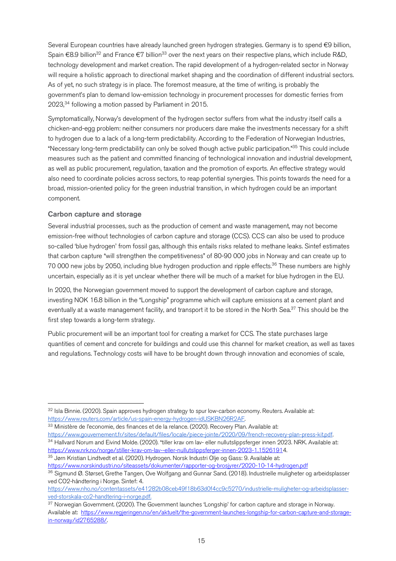Several European countries have already launched green hydrogen strategies. Germany is to spend €9 billion, Spain  $\epsilon$ 8.9 billion<sup>32</sup> and France  $\epsilon$ 7 billion<sup>33</sup> over the next years on their respective plans, which include R&D, technology development and market creation. The rapid development of a hydrogen-related sector in Norway will require a holistic approach to directional market shaping and the coordination of different industrial sectors. As of yet, no such strategy is in place. The foremost measure, at the time of writing, is probably the government's plan to demand low-emission technology in procurement processes for domestic ferries from 2023,<sup>34</sup> following a motion passed by Parliament in 2015.

Symptomatically, Norway's development of the hydrogen sector suffers from what the industry itself calls a chicken-and-egg problem: neither consumers nor producers dare make the investments necessary for a shift to hydrogen due to a lack of a long-term predictability. According to the Federation of Norwegian Industries, "Necessary long-term predictability can only be solved though active public participation."35 This could include measures such as the patient and committed financing of technological innovation and industrial development, as well as public procurement, regulation, taxation and the promotion of exports. An effective strategy would also need to coordinate policies across sectors, to reap potential synergies. This points towards the need for a broad, mission-oriented policy for the green industrial transition, in which hydrogen could be an important component.

#### Carbon capture and storage

Several industrial processes, such as the production of cement and waste management, may not become emission-free without technologies of carbon capture and storage (CCS). CCS can also be used to produce so-called 'blue hydrogen' from fossil gas, although this entails risks related to methane leaks. Sintef estimates that carbon capture "will strengthen the competitiveness" of 80-90 000 jobs in Norway and can create up to 70 000 new jobs by 2050, including blue hydrogen production and ripple effects.<sup>36</sup> These numbers are highly uncertain, especially as it is yet unclear whether there will be much of a market for blue hydrogen in the EU.

In 2020, the Norwegian government moved to support the development of carbon capture and storage, investing NOK 16.8 billion in the "Longship" programme which will capture emissions at a cement plant and eventually at a waste management facility, and transport it to be stored in the North Sea.<sup>37</sup> This should be the first step towards a long-term strategy.

Public procurement will be an important tool for creating a market for CCS. The state purchases large quantities of cement and concrete for buildings and could use this channel for market creation, as well as taxes and regulations. Technology costs will have to be brought down through innovation and economies of scale,

https://www.gouvernement.fr/sites/default/files/locale/piece-jointe/2020/09/french-recovery-plan-press-kit.pdf. <sup>34</sup> Hallvard Norum and Eivind Molde. (2020). "tiller krav om lav- eller nullutslippsferger innen 2023. NRK. Available at: https://www.nrk.no/norge/stiller-krav-om-lav--eller-nullutslippsferger-innen-2023-1.15261914.<br><sup>35</sup> Jørn Kristian Lindtvedt et al. (2020). Hydrogen. Norsk Industri Olje og Gass: 9. Available at:

<sup>32</sup> Isla Binnie. (2020). Spain approves hydrogen strategy to spur low-carbon economy. Reuters. Available at: https://www.reuters.com/article/us-spain-energy-hydrogen-idUSKBN26R2AF.

<sup>&</sup>lt;sup>33</sup> Ministère de l'economie, des finances et de la relance. (2020). Recovery Plan. Available at:

https://www.norskindustri.no/siteassets/dokumenter/rapporter-og-brosjyrer/2020-10-14-hydrogen.pdf

<sup>36</sup> Sigmund Ø. Størset, Grethe Tangen, Ove Wolfgang and Gunnar Sand. (2018). Industrielle muligheter og arbeidsplasser ved CO2-håndtering i Norge. Sintef: 4.

https://www.nho.no/contentassets/e41282b08ceb49f18b63d0f4cc9c5270/industrielle-muligheter-og-arbeidsplasserved-storskala-co2-handtering-i-norge.pdf.

<sup>&</sup>lt;sup>37</sup> Norwegian Government. (2020). The Government launches 'Longship' for carbon capture and storage in Norway. Available at: https://www.regjeringen.no/en/aktuelt/the-government-launches-longship-for-carbon-capture-and-storagein-norway/id2765288/.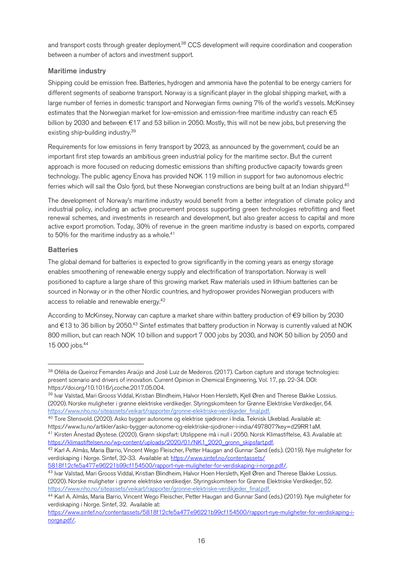and transport costs through greater deployment.<sup>38</sup> CCS development will require coordination and cooperation between a number of actors and investment support.

#### Maritime industry

Shipping could be emission free. Batteries, hydrogen and ammonia have the potential to be energy carriers for different segments of seaborne transport. Norway is a significant player in the global shipping market, with a large number of ferries in domestic transport and Norwegian firms owning 7% of the world's vessels. McKinsey estimates that the Norwegian market for low-emission and emission-free maritime industry can reach €5 billion by 2030 and between €17 and 53 billion in 2050. Mostly, this will not be new jobs, but preserving the existing ship-building industry.39

Requirements for low emissions in ferry transport by 2023, as announced by the government, could be an important first step towards an ambitious green industrial policy for the maritime sector. But the current approach is more focused on reducing domestic emissions than shifting productive capacity towards green technology. The public agency Enova has provided NOK 119 million in support for two autonomous electric ferries which will sail the Oslo fiord, but these Norwegian constructions are being built at an Indian shipyard.<sup>40</sup>

The development of Norway's maritime industry would benefit from a better integration of climate policy and industrial policy, including an active procurement process supporting green technologies retrofitting and fleet renewal schemes, and investments in research and development, but also greater access to capital and more active export promotion. Today, 30% of revenue in the green maritime industry is based on exports, compared to 50% for the maritime industry as a whole. $41$ 

#### **Batteries**

The global demand for batteries is expected to grow significantly in the coming years as energy storage enables smoothening of renewable energy supply and electrification of transportation. Norway is well positioned to capture a large share of this growing market. Raw materials used in lithium batteries can be sourced in Norway or in the other Nordic countries, and hydropower provides Norwegian producers with access to reliable and renewable energy.42

According to McKinsey, Norway can capture a market share within battery production of €9 billion by 2030 and €13 to 36 billion by 2050.43 Sintef estimates that battery production in Norway is currently valued at NOK 800 million, but can reach NOK 10 billion and support 7 000 jobs by 2030, and NOK 50 billion by 2050 and 15 000 jobs.44

5818f12cfe5a477e96221b99cf154500/rapport-nye-muligheter-for-verdiskaping-i-norge.pdf/.

43 Ivar Valstad, Mari Grooss Viddal, Kristian Blindheim, Halvor Hoen Hersleth, Kjell Øren and Therese Bakke Lossius. (2020). Norske muligheter i grønne elektriske verdikedjer. Styringskomiteen for Grønne Elektriske Verdikedjer, 52. https://www.nho.no/siteassets/veikart/rapporter/gronne-elektriske-verdikjeder\_final.pdf.

<sup>38</sup> Ofélia de Queiroz Fernandes Araújo and José Luiz de Medeiros. (2017). Carbon capture and storage technologies: present scenario and drivers of innovation. Current Opinion in Chemical Engineering, Vol. 17, pp. 22-34. DOI: https://doi.org/10.1016/j.coche.2017.05.004.

<sup>39</sup> Ivar Valstad, Mari Grooss Viddal, Kristian Blindheim, Halvor Hoen Hersleth, Kjell Øren and Therese Bakke Lossius. (2020). Norske muligheter i grønne elektriske verdikedjer. Styringskomiteen for Grønne Elektriske Verdikedjer, 64. https://www.nho.no/siteassets/veikart/rapporter/gronne-elektriske-verdikjeder\_final.pdf.

<sup>40</sup> Tore Stensvold. (2020). Asko bygger autonome og elektrise sjødroner i India. Teknisk Ukeblad. Available at: https://www.tu.no/artikler/asko-bygger-autonome-og-elektriske-sjodroner-i-india/497807?key=d29RR1aM. <sup>41</sup> Kirsten Ånestad Øystese. (2020). Grønn skipsfart: Utslippene må i null i 2050. Norsk Klimastiftelse, 43. Available at: https://klimastiftelsen.no/wp-content/uploads/2020/01/NK1\_2020\_gronn\_skipsfart.pdf.

<sup>42</sup> Karl A. Almås, Maria Barrio, Vincent Wego Fleischer, Petter Haugan and Gunnar Sand (eds.). (2019). Nye muligheter for verdiskaping i Norge. Sintef, 32-33. Available at: https://www.sintef.no/contentassets/

<sup>44</sup> Karl A. Almås, Maria Barrio, Vincent Wego Fleischer, Petter Haugan and Gunnar Sand (eds.) (2019). Nye muligheter for verdiskaping i Norge. Sintef, 32. Available at:

https://www.sintef.no/contentassets/5818f12cfe5a477e96221b99cf154500/rapport-nye-muligheter-for-verdiskaping-inorge.pdf/.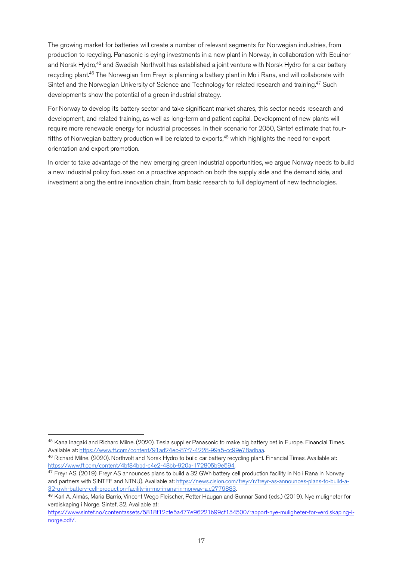The growing market for batteries will create a number of relevant segments for Norwegian industries, from production to recycling. Panasonic is eying investments in a new plant in Norway, in collaboration with Equinor and Norsk Hydro,<sup>45</sup> and Swedish Northvolt has established a joint venture with Norsk Hydro for a car battery recycling plant.46 The Norwegian firm Freyr is planning a battery plant in Mo i Rana, and will collaborate with Sintef and the Norwegian University of Science and Technology for related research and training.<sup>47</sup> Such developments show the potential of a green industrial strategy.

For Norway to develop its battery sector and take significant market shares, this sector needs research and development, and related training, as well as long-term and patient capital. Development of new plants will require more renewable energy for industrial processes. In their scenario for 2050, Sintef estimate that fourfifths of Norwegian battery production will be related to exports,<sup>48</sup> which highlights the need for export orientation and export promotion.

In order to take advantage of the new emerging green industrial opportunities, we argue Norway needs to build a new industrial policy focussed on a proactive approach on both the supply side and the demand side, and investment along the entire innovation chain, from basic research to full deployment of new technologies.

 <sup>45</sup> Kana Inagaki and Richard Milne. (2020). Tesla supplier Panasonic to make big battery bet in Europe. Financial Times. Available at: https://www.ft.com/content/91ad24ec-87f7-4228-99a5-cc99e78adbaa.

<sup>&</sup>lt;sup>46</sup> Richard Milne. (2020). Northvolt and Norsk Hydro to build car battery recycling plant. Financial Times. Available at: https://www.ft.com/content/4bf84bbd-c4e2-48bb-920a-172805b9e594.

<sup>&</sup>lt;sup>47</sup> Freyr AS. (2019). Freyr AS announces plans to build a 32 GWh battery cell production facility in No i Rana in Norway and partners with SINTEF and NTNU). Available at: https://news.cision.com/freyr/r/freyr-as-announces-plans-to-build-a-32-gwh-battery-cell-production-facility-in-mo-i-rana-in-norway-a,c2779883.

<sup>48</sup> Karl A. Almås, Maria Barrio, Vincent Wego Fleischer, Petter Haugan and Gunnar Sand (eds.) (2019). Nye muligheter for verdiskaping i Norge. Sintef, 32. Available at:

https://www.sintef.no/contentassets/5818f12cfe5a477e96221b99cf154500/rapport-nye-muligheter-for-verdiskaping-inorge.pdf/.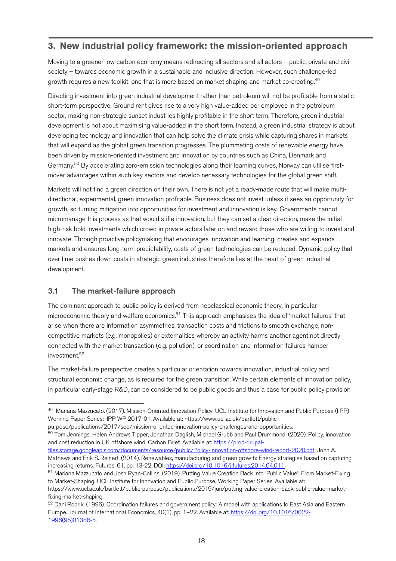## **3. New industrial policy framework: the mission-oriented approach**

Moving to a greener low carbon economy means redirecting all sectors and all actors – public, private and civil society – towards economic growth in a sustainable and inclusive direction. However, such challenge-led growth requires a new toolkit; one that is more based on market shaping and market co-creating.<sup>49</sup>

Directing investment into green industrial development rather than petroleum will not be profitable from a static short-term perspective. Ground rent gives rise to a very high value-added per employee in the petroleum sector, making non-strategic sunset industries highly profitable in the short term. Therefore, green industrial development is not about maximising value-added in the short term. Instead, a green industrial strategy is about developing technology and innovation that can help solve the climate crisis while capturing shares in markets that will expand as the global green transition progresses. The plummeting costs of renewable energy have been driven by mission-oriented investment and innovation by countries such as China, Denmark and Germany.<sup>50</sup> By accelerating zero-emission technologies along their learning curves, Norway can utilise firstmover advantages within such key sectors and develop necessary technologies for the global green shift.

Markets will not find a green direction on their own. There is not yet a ready-made route that will make multidirectional, experimental, green innovation profitable. Business does not invest unless it sees an opportunity for growth, so turning mitigation into opportunities for investment and innovation is key. Governments cannot micromanage this process as that would stifle innovation, but they can set a clear direction, make the initial high-risk bold investments which crowd in private actors later on and reward those who are willing to invest and innovate. Through proactive policymaking that encourages innovation and learning, creates and expands markets and ensures long-term predictability, costs of green technologies can be reduced. Dynamic policy that over time pushes down costs in strategic green industries therefore lies at the heart of green industrial development.

#### 3.1 The market-failure approach

The dominant approach to public policy is derived from neoclassical economic theory, in particular microeconomic theory and welfare economics.51 This approach emphasises the idea of 'market failures' that arise when there are information asymmetries, transaction costs and frictions to smooth exchange, noncompetitive markets (e.g. monopolies) or externalities whereby an activity harms another agent not directly connected with the market transaction (e.g. pollution), or coordination and information failures hamper  $inv$ estment $52$ 

The market-failure perspective creates a particular orientation towards innovation, industrial policy and structural economic change, as is required for the green transition. While certain elements of innovation policy, in particular early-stage R&D, can be considered to be public goods and thus a case for public policy provision

purpose/publications/2017/sep/mission-oriented-innovation-policy-challenges-and-opportunities.

 <sup>49</sup> Mariana Mazzucato. (2017). Mission-Oriented Innovation Policy. UCL Institute for Innovation and Public Purpose (IIPP) Working Paper Series: IIPP WP 2017-01. Available at: https://www.ucl.ac.uk/bartlett/public-

<sup>&</sup>lt;sup>50</sup> Tom Jennings, Helen Andrews Tipper, Jonathan Daglish, Michael Grubb and Paul Drummond. (2020). Policy, innovation and cost reduction in UK offshore wind. Carbon Brief. Available at: https://prod-drupal-

files.storage.googleapis.com/documents/resource/public/Policy-innovation-offshore-wind-report-2020.pdf; John A. Mathews and Erik S. Reinert. (2014). Renewables, manufacturing and green growth: Energy strategies based on capturing increasing returns. Futures, 61, pp. 13-22. DOI: https://doi.org/10.1016/j.futures.2014.04.011.

<sup>51</sup> Mariana Mazzucato and Josh Ryan-Collins. (2019). Putting Value Creation Back into 'Public Value': From Market-Fixing to Market-Shaping. UCL Institute for Innovation and Public Purpose, Working Paper Series. Available at:

https://www.ucl.ac.uk/bartlett/public-purpose/publications/2019/jun/putting-value-creation-back-public-value-marketfixing-market-shaping.

<sup>&</sup>lt;sup>52</sup> Dani Rodrik. (1996). Coordination failures and government policy: A model with applications to East Asia and Eastern Europe. Journal of International Economics, 40(1), pp. 1–22. Available at: https://doi.org/10.1016/0022- 1996(95)01386-5.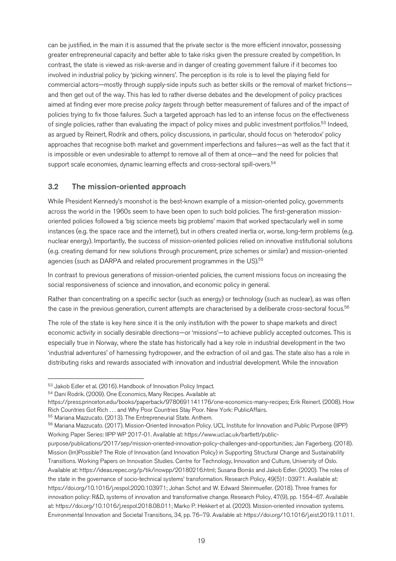can be justified, in the main it is assumed that the private sector is the more efficient innovator, possessing greater entrepreneurial capacity and better able to take risks given the pressure created by competition. In contrast, the state is viewed as risk-averse and in danger of creating government failure if it becomes too involved in industrial policy by 'picking winners'. The perception is its role is to level the playing field for commercial actors—mostly through supply-side inputs such as better skills or the removal of market frictions and then get out of the way. This has led to rather diverse debates and the development of policy practices aimed at finding ever more precise *policy targets* through better measurement of failures and of the impact of policies trying to fix those failures. Such a targeted approach has led to an intense focus on the effectiveness of single policies, rather than evaluating the impact of policy mixes and public investment portfolios.53 Indeed, as argued by Reinert, Rodrik and others, policy discussions, in particular, should focus on 'heterodox' policy approaches that recognise both market and government imperfections and failures—as well as the fact that it is impossible or even undesirable to attempt to remove all of them at once—and the need for policies that support scale economies, dynamic learning effects and cross-sectoral spill-overs.<sup>54</sup>

#### 3.2 The mission-oriented approach

While President Kennedy's moonshot is the best-known example of a mission-oriented policy, governments across the world in the 1960s seem to have been open to such bold policies. The first-generation missionoriented policies followed a 'big science meets big problems' maxim that worked spectacularly well in some instances (e.g. the space race and the internet), but in others created inertia or, worse, long-term problems (e.g. nuclear energy). Importantly, the success of mission-oriented policies relied on innovative institutional solutions (e.g. creating demand for new solutions through procurement, prize schemes or similar) and mission-oriented agencies (such as DARPA and related procurement programmes in the US).<sup>55</sup>

In contrast to previous generations of mission-oriented policies, the current missions focus on increasing the social responsiveness of science and innovation, and economic policy in general.

Rather than concentrating on a specific sector (such as energy) or technology (such as nuclear), as was often the case in the previous generation, current attempts are characterised by a deliberate cross-sectoral focus.<sup>56</sup>

The role of the state is key here since it is the only institution with the power to shape markets and direct economic activity in socially desirable directions—or 'missions'—to achieve publicly accepted outcomes. This is especially true in Norway, where the state has historically had a key role in industrial development in the two 'industrial adventures' of harnessing hydropower, and the extraction of oil and gas. The state also has a role in distributing risks and rewards associated with innovation and industrial development. While the innovation

<sup>55</sup> Mariana Mazzucato. (2013). The Entrepreneurial State. Anthem.

<sup>53</sup> Jakob Edler et al. (2016). Handbook of Innovation Policy Impact.

<sup>54</sup> Dani Rodrik. (2009). One Economics, Many Recipes. Available at:

https://press.princeton.edu/books/paperback/9780691141176/one-economics-many-recipes; Erik Reinert. (2008). How Rich Countries Got Rich . . . and Why Poor Countries Stay Poor. New York: PublicAffairs.

<sup>56</sup> Mariana Mazzucato. (2017). Mission-Oriented Innovation Policy. UCL Institute for Innovation and Public Purpose (IIPP) Working Paper Series: IIPP WP 2017-01. Available at: https://www.ucl.ac.uk/bartlett/public-

purpose/publications/2017/sep/mission-oriented-innovation-policy-challenges-and-opportunities; Jan Fagerberg. (2018). Mission (Im)Possible? The Role of Innovation (and Innovation Policy) in Supporting Structural Change and Sustainability Transitions. Working Papers on Innovation Studies. Centre for Technology, Innovation and Culture, University of Oslo. Available at: https://ideas.repec.org/p/tik/inowpp/20180216.html; Susana Borrás and Jakob Edler. (2020). The roles of the state in the governance of socio-technical systems' transformation. Research Policy, 49(5)1: 03971. Available at: https://doi.org/10.1016/j.respol.2020.103971; Johan Schot and W. Edward Steinmueller. (2018). Three frames for innovation policy: R&D, systems of innovation and transformative change. Research Policy, 47(9), pp. 1554–67. Available at: https://doi.org/10.1016/j.respol.2018.08.011; Marko P. Hekkert et al. (2020). Mission-oriented innovation systems. Environmental Innovation and Societal Transitions, 34, pp. 76–79. Available at: https://doi.org/10.1016/j.eist.2019.11.011.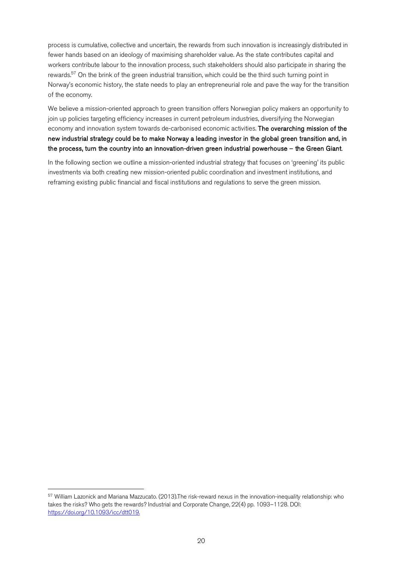process is cumulative, collective and uncertain, the rewards from such innovation is increasingly distributed in fewer hands based on an ideology of maximising shareholder value. As the state contributes capital and workers contribute labour to the innovation process, such stakeholders should also participate in sharing the rewards.57 On the brink of the green industrial transition, which could be the third such turning point in Norway's economic history, the state needs to play an entrepreneurial role and pave the way for the transition of the economy.

We believe a mission-oriented approach to green transition offers Norwegian policy makers an opportunity to join up policies targeting efficiency increases in current petroleum industries, diversifying the Norwegian economy and innovation system towards de-carbonised economic activities. The overarching mission of the new industrial strategy could be to make Norway a leading investor in the global green transition and, in the process, turn the country into an innovation-driven green industrial powerhouse – the Green Giant.

In the following section we outline a mission-oriented industrial strategy that focuses on 'greening' its public investments via both creating new mission-oriented public coordination and investment institutions, and reframing existing public financial and fiscal institutions and regulations to serve the green mission.

 <sup>57</sup> William Lazonick and Mariana Mazzucato. (2013).The risk-reward nexus in the innovation-inequality relationship: who takes the risks? Who gets the rewards? Industrial and Corporate Change, 22(4) pp. 1093–1128. DOI: https://doi.org/10.1093/icc/dtt019.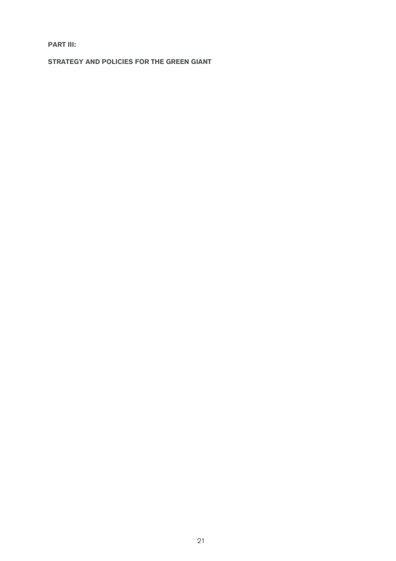**PART III:**

**STRATEGY AND POLICIES FOR THE GREEN GIANT**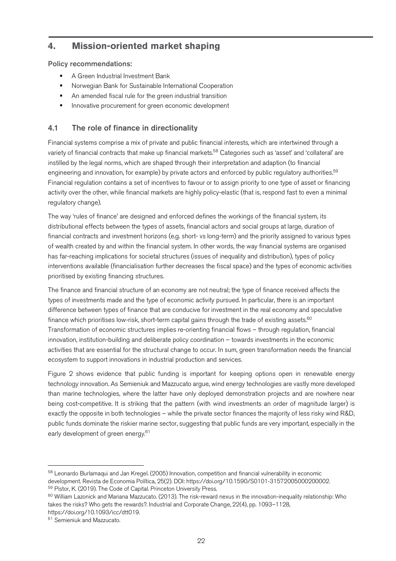## **4. Mission-oriented market shaping**

Policy recommendations:

- § A Green Industrial Investment Bank
- Norwegian Bank for Sustainable International Cooperation
- An amended fiscal rule for the green industrial transition
- **■** Innovative procurement for green economic development

#### 4.1 The role of finance in directionality

Financial systems comprise a mix of private and public financial interests, which are intertwined through a variety of financial contracts that make up financial markets.<sup>58</sup> Categories such as 'asset' and 'collateral' are instilled by the legal norms, which are shaped through their interpretation and adaption (to financial engineering and innovation, for example) by private actors and enforced by public regulatory authorities.<sup>59</sup> Financial regulation contains a set of incentives to favour or to assign priority to one type of asset or financing activity over the other, while financial markets are highly policy-elastic (that is, respond fast to even a minimal regulatory change).

The way 'rules of finance' are designed and enforced defines the workings of the financial system, its distributional effects between the types of assets, financial actors and social groups at large, duration of financial contracts and investment horizons (e.g. short- vs long-term) and the priority assigned to various types of wealth created by and within the financial system. In other words, the way financial systems are organised has far-reaching implications for societal structures (issues of inequality and distribution), types of policy interventions available (financialisation further decreases the fiscal space) and the types of economic activities prioritised by existing financing structures.

The finance and financial structure of an economy are not neutral; the type of finance received affects the types of investments made and the type of economic activity pursued. In particular, there is an important difference between types of finance that are conducive for investment in the real economy and speculative finance which prioritises low-risk, short-term capital gains through the trade of existing assets. $60$ Transformation of economic structures implies re-orienting financial flows – through regulation, financial innovation, institution-building and deliberate policy coordination – towards investments in the economic activities that are essential for the structural change to occur. In sum, green transformation needs the financial ecosystem to support innovations in industrial production and services.

Figure 2 shows evidence that public funding is important for keeping options open in renewable energy technology innovation. As Semieniuk and Mazzucato argue, wind energy technologies are vastly more developed than marine technologies, where the latter have only deployed demonstration projects and are nowhere near being cost-competitive. It is striking that the pattern (with wind investments an order of magnitude larger) is exactly the opposite in both technologies – while the private sector finances the majority of less risky wind R&D, public funds dominate the riskier marine sector, suggesting that public funds are very important, especially in the early development of green energy.<sup>61</sup>

<sup>58</sup> Leonardo Burlamaqui and Jan Kregel. (2005) Innovation, competition and financial vulnerability in economic development. Revista de Economia Política, 25(2). DOI: https://doi.org/10.1590/S0101-31572005000200002. <sup>59</sup> Pistor, K. (2019). The Code of Capital. Princeton University Press.

<sup>60</sup> William Lazonick and Mariana Mazzucato. (2013). The risk-reward nexus in the innovation-inequality relationship: Who takes the risks? Who gets the rewards?. Industrial and Corporate Change, 22(4), pp. 1093–1128, https://doi.org/10.1093/icc/dtt019.

<sup>61</sup> Semieniuk and Mazzucato.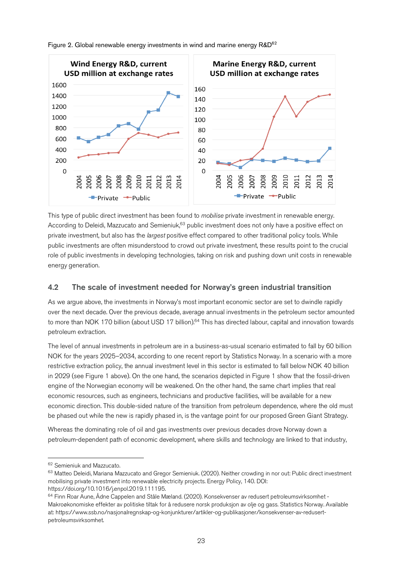

Figure 2. Global renewable energy investments in wind and marine energy R&D<sup>62</sup>

This type of public direct investment has been found to *mobilise* private investment in renewable energy. According to Deleidi, Mazzucato and Semieniuk,<sup>63</sup> public investment does not only have a positive effect on private investment, but also has the *largest* positive effect compared to other traditional policy tools. While public investments are often misunderstood to crowd out private investment, these results point to the crucial role of public investments in developing technologies, taking on risk and pushing down unit costs in renewable energy generation.

#### 4.2 The scale of investment needed for Norway's green industrial transition

As we argue above, the investments in Norway's most important economic sector are set to dwindle rapidly over the next decade. Over the previous decade, average annual investments in the petroleum sector amounted to more than NOK 170 billion (about USD 17 billion).<sup>64</sup> This has directed labour, capital and innovation towards petroleum extraction.

The level of annual investments in petroleum are in a business-as-usual scenario estimated to fall by 60 billion NOK for the years 2025–2034, according to one recent report by Statistics Norway. In a scenario with a more restrictive extraction policy, the annual investment level in this sector is estimated to fall below NOK 40 billion in 2029 (see Figure 1 above). On the one hand, the scenarios depicted in Figure 1 show that the fossil-driven engine of the Norwegian economy will be weakened. On the other hand, the same chart implies that real economic resources, such as engineers, technicians and productive facilities, will be available for a new economic direction. This double-sided nature of the transition from petroleum dependence, where the old must be phased out while the new is rapidly phased in, is the vantage point for our proposed Green Giant Strategy.

Whereas the dominating role of oil and gas investments over previous decades drove Norway down a petroleum-dependent path of economic development, where skills and technology are linked to that industry,

 <sup>62</sup> Semieniuk and Mazzucato.

<sup>63</sup> Matteo Deleidi, Mariana Mazzucato and Gregor Semieniuk. (2020). Neither crowding in nor out: Public direct investment mobilising private investment into renewable electricity projects. Energy Policy, 140. DOI: https://doi.org/10.1016/j.enpol.2019.111195.

<sup>64</sup> Finn Roar Aune, Ådne Cappelen and Ståle Mæland. (2020). Konsekvenser av redusert petroleumsvirksomhet - Makroøkonomiske effekter av politiske tiltak for å redusere norsk produksjon av olje og gass. Statistics Norway. Available at: https://www.ssb.no/nasjonalregnskap-og-konjunkturer/artikler-og-publikasjoner/konsekvenser-av-redusertpetroleumsvirksomhet.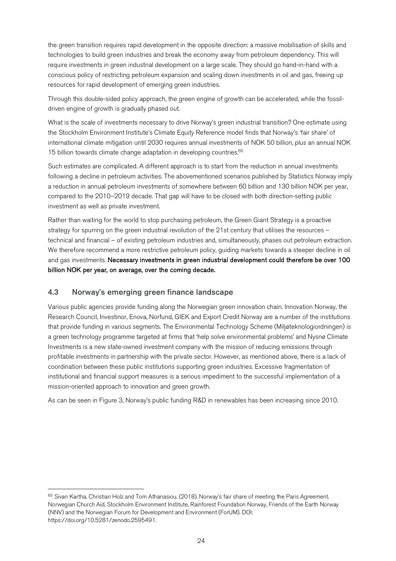the green transition requires rapid development in the opposite direction: a massive mobilisation of skills and technologies to build green industries and break the economy away from petroleum dependency. This will require investments in green industrial development on a large scale. They should go hand-in-hand with a conscious policy of restricting petroleum expansion and scaling down investments in oil and gas, freeing up resources for rapid development of emerging green industries.

Through this double-sided policy approach, the green engine of growth can be accelerated, while the fossildriven engine of growth is gradually phased out.

What is the scale of investments necessary to drive Norway's green industrial transition? One estimate using the Stockholm Environment Institute's Climate Equity Reference model finds that Norway's 'fair share' of international climate mitigation until 2030 requires annual investments of NOK 50 billion, plus an annual NOK 15 billion towards climate change adaptation in developing countries.<sup>65</sup>

Such estimates are complicated. A different approach is to start from the reduction in annual investments following a decline in petroleum activities. The abovementioned scenarios published by Statistics Norway imply a reduction in annual petroleum investments of somewhere between 60 billion and 130 billion NOK per year, compared to the 2010–2019 decade. That gap will have to be closed with both direction-setting public investment as well as private investment.

Rather than waiting for the world to stop purchasing petroleum, the Green Giant Strategy is a proactive strategy for spurring on the green industrial revolution of the 21st century that utilises the resources – technical and financial – of existing petroleum industries and, simultaneously, phases out petroleum extraction. We therefore recommend a more restrictive petroleum policy, guiding markets towards a steeper decline in oil and gas investments. Necessary investments in green industrial development could therefore be over 100 billion NOK per year, on average, over the coming decade.

#### 4.3 Norway's emerging green finance landscape

Various public agencies provide funding along the Norwegian green innovation chain. Innovation Norway, the Research Council, Investinor, Enova, Norfund, GIEK and Export Credit Norway are a number of the institutions that provide funding in various segments. The Environmental Technology Scheme (Miljøteknologiordningen) is a green technology programme targeted at firms that 'help solve environmental problems' and Nysnø Climate Investments is a new state-owned investment company with the mission of reducing emissions through profitable investments in partnership with the private sector. However, as mentioned above, there is a lack of coordination between these public institutions supporting green industries. Excessive fragmentation of institutional and financial support measures is a serious impediment to the successful implementation of a mission-oriented approach to innovation and green growth.

As can be seen in Figure 3, Norway's public funding R&D in renewables has been increasing since 2010.

<sup>&</sup>lt;sup>65</sup> Sivan Kartha, Christian Holz and Tom Athanasiou. (2018). Norway's fair share of meeting the Paris Agreement. Norwegian Church Aid, Stockholm Environment Institute, Rainforest Foundation Norway, Friends of the Earth Norway (NNV) and the Norwegian Forum for Development and Environment (ForUM). DOI: https://doi.org/10.5281/zenodo.2595491.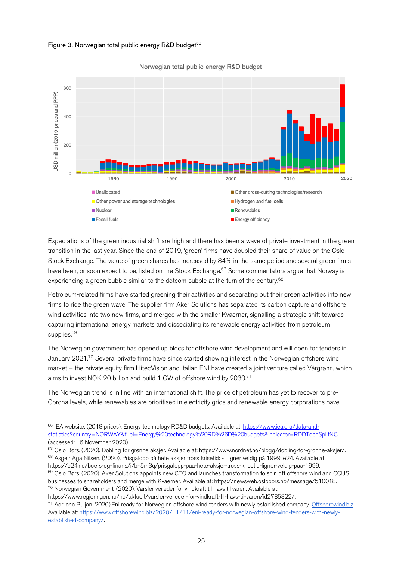#### Figure 3. Norwegian total public energy R&D budget<sup>66</sup>



Expectations of the green industrial shift are high and there has been a wave of private investment in the green transition in the last year. Since the end of 2019, 'green' firms have doubled their share of value on the Oslo Stock Exchange. The value of green shares has increased by 84% in the same period and several green firms have been, or soon expect to be, listed on the Stock Exchange.<sup>67</sup> Some commentators argue that Norway is experiencing a green bubble similar to the dotcom bubble at the turn of the century.<sup>68</sup>

Petroleum-related firms have started greening their activities and separating out their green activities into new firms to ride the green wave. The supplier firm Aker Solutions has separated its carbon capture and offshore wind activities into two new firms, and merged with the smaller Kvaerner, signalling a strategic shift towards capturing international energy markets and dissociating its renewable energy activities from petroleum supplies.<sup>69</sup>

The Norwegian government has opened up blocs for offshore wind development and will open for tenders in January 2021.<sup>70</sup> Several private firms have since started showing interest in the Norwegian offshore wind market – the private equity firm HitecVision and Italian ENI have created a joint venture called Vårgrønn, which aims to invest NOK 20 billion and build 1 GW of offshore wind by 2030.<sup>71</sup>

The Norwegian trend is in line with an international shift. The price of petroleum has yet to recover to pre-Corona levels, while renewables are prioritised in electricity grids and renewable energy corporations have

<sup>&</sup>lt;sup>66</sup> IEA website. (2018 prices). Energy technology RD&D budgets. Available at: https://www.iea.org/data-andstatistics?country=NORWAY&fuel=Energy%20technology%20RD%26D%20budgets&indicator=RDDTechSplitNC (accessed: 16 November 2020).

<sup>67</sup> Oslo Børs. (2020). Dobling for grønne aksjer. Available at: https://www.nordnet.no/blogg/dobling-for-gronne-aksjer/. <sup>68</sup> Asgeir Aga Nilsen. (2020). Prisgalopp på hete aksjer tross krisetid: - Ligner veldig på 1999. e24. Available at: https://e24.no/boers-og-finans/i/bn5m3q/prisgalopp-paa-hete-aksjer-tross-krisetid-ligner-veldig-paa-1999.

 $69$  Oslo Børs. (2020). Aker Solutions appoints new CEO and launches transformation to spin off offshore wind and CCUS businesses to shareholders and merge with Kvaerner. Available at: https://newsweb.oslobors.no/message/510018. <sup>70</sup> Norwegian Government. (2020). Varsler veileder for vindkraft til havs til våren. Available at:

https://www.regjeringen.no/no/aktuelt/varsler-veileder-for-vindkraft-til-havs-til-varen/id2785322/.

<sup>&</sup>lt;sup>71</sup> Adrijana Buljan. 2020).Eni ready for Norwegian offshore wind tenders with newly established company. Offshorewind.biz. Available at: https://www.offshorewind.biz/2020/11/11/eni-ready-for-norwegian-offshore-wind-tenders-with-newlyestablished-company/.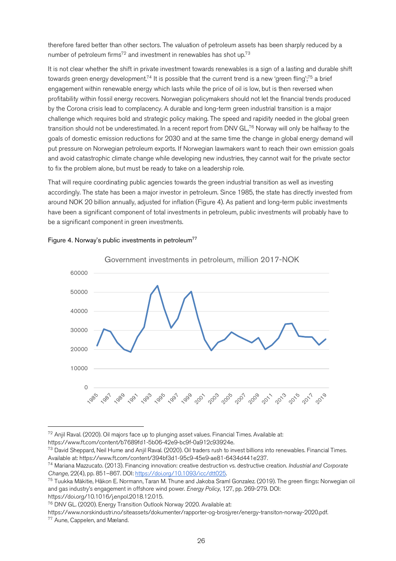therefore fared better than other sectors. The valuation of petroleum assets has been sharply reduced by a number of petroleum firms<sup>72</sup> and investment in renewables has shot up.<sup>73</sup>

It is not clear whether the shift in private investment towards renewables is a sign of a lasting and durable shift towards green energy development.<sup>74</sup> It is possible that the current trend is a new 'green fling';<sup>75</sup> a brief engagement within renewable energy which lasts while the price of oil is low, but is then reversed when profitability within fossil energy recovers. Norwegian policymakers should not let the financial trends produced by the Corona crisis lead to complacency. A durable and long-term green industrial transition is a major challenge which requires bold and strategic policy making. The speed and rapidity needed in the global green transition should not be underestimated. In a recent report from DNV GL,76 Norway will only be halfway to the goals of domestic emission reductions for 2030 and at the same time the change in global energy demand will put pressure on Norwegian petroleum exports. If Norwegian lawmakers want to reach their own emission goals and avoid catastrophic climate change while developing new industries, they cannot wait for the private sector to fix the problem alone, but must be ready to take on a leadership role.

That will require coordinating public agencies towards the green industrial transition as well as investing accordingly. The state has been a major investor in petroleum. Since 1985, the state has directly invested from around NOK 20 billion annually, adjusted for inflation (Figure 4). As patient and long-term public investments have been a significant component of total investments in petroleum, public investments will probably have to be a significant component in green investments.



#### Figure 4. Norway's public investments in petroleum<sup>77</sup>

https://www.ft.com/content/b7689fd1-5b06-42e9-bc9f-0a912c93924e.

<sup>76</sup> DNV GL. (2020). Energy Transition Outlook Norway 2020. Available at:

https://www.norskindustri.no/siteassets/dokumenter/rapporter-og-brosjyrer/energy-transiton-norway-2020.pdf.<br><sup>77</sup> Aune, Cappelen, and Mæland.

 $72$  Anjil Raval. (2020). Oil majors face up to plunging asset values. Financial Times. Available at:

<sup>73</sup> David Sheppard, Neil Hume and Anjil Raval. (2020). Oil traders rush to invest billions into renewables. Financial Times. Available at: https://www.ft.com/content/394bf3d1-95c9-45e9-ae81-6434d441e237.

<sup>74</sup> Mariana Mazzucato. (2013). Financing innovation: creative destruction vs. destructive creation. *Industrial and Corporate Change*, 22(4), pp. 851–867. DOI: https://doi.org/10.1093/icc/dtt025.

<sup>75</sup> Tuukka Mäkitie, Håkon E. Normann, Taran M. Thune and Jakoba Sraml Gonzalez. (2019). The green flings: Norwegian oil and gas industry's engagement in offshore wind power. *Energy Policy*, 127, pp. 269-279. DOI: https://doi.org/10.1016/j.enpol.2018.12.015.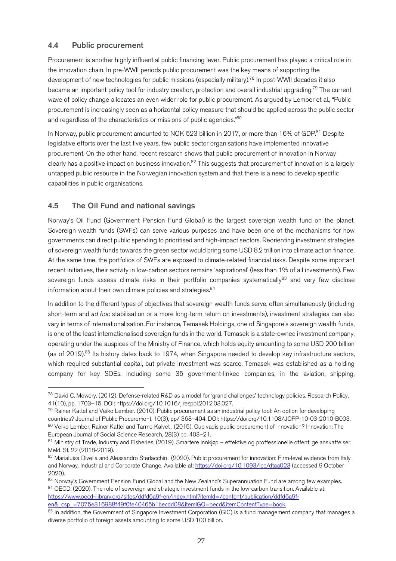#### 4.4 Public procurement

Procurement is another highly influential public financing lever. Public procurement has played a critical role in the innovation chain. In pre-WWII periods public procurement was the key means of supporting the development of new technologies for public missions (especially military).78 In post-WWII decades it also became an important policy tool for industry creation, protection and overall industrial upgrading.<sup>79</sup> The current wave of policy change allocates an even wider role for public procurement. As argued by Lember et al., "Public procurement is increasingly seen as a horizontal policy measure that should be applied across the public sector and regardless of the characteristics or missions of public agencies."80

In Norway, public procurement amounted to NOK 523 billion in 2017, or more than 16% of GDP.<sup>81</sup> Despite legislative efforts over the last five years, few public sector organisations have implemented innovative procurement. On the other hand, recent research shows that public procurement of innovation in Norway clearly has a positive impact on business innovation.<sup>82</sup> This suggests that procurement of innovation is a largely untapped public resource in the Norwegian innovation system and that there is a need to develop specific capabilities in public organisations.

## 4.5 The Oil Fund and national savings

Norway's Oil Fund (Government Pension Fund Global) is the largest sovereign wealth fund on the planet. Sovereign wealth funds (SWFs) can serve various purposes and have been one of the mechanisms for how governments can direct public spending to prioritised and high-impact sectors. Reorienting investment strategies of sovereign wealth funds towards the green sector would bring some USD 8.2 trillion into climate action finance. At the same time, the portfolios of SWFs are exposed to climate-related financial risks. Despite some important recent initiatives, their activity in low-carbon sectors remains 'aspirational' (less than 1% of all investments). Few sovereign funds assess climate risks in their portfolio companies systematically<sup>83</sup> and very few disclose information about their own climate policies and strategies.<sup>84</sup>

In addition to the different types of objectives that sovereign wealth funds serve, often simultaneously (including short-term and *ad hoc* stabilisation or a more long-term return on investments), investment strategies can also vary in terms of internationalisation. For instance, Temasek Holdings, one of Singapore's sovereign wealth funds, is one of the least internationalised sovereign funds in the world. Temasek is a state-owned investment company, operating under the auspices of the Ministry of Finance, which holds equity amounting to some USD 200 billion (as of 2019).<sup>85</sup> Its history dates back to 1974, when Singapore needed to develop key infrastructure sectors, which required substantial capital, but private investment was scarce. Temasek was established as a holding company for key SOEs, including some 35 government-linked companies, in the aviation, shipping,

 <sup>78</sup> David C. Mowery. (2012). Defense-related R&D as a model for 'grand challenges' technology policies. Research Policy, 41(10), pp. 1703–15. DOI: https://doi.org/10.1016/j.respol.2012.03.027.

<sup>79</sup> Rainer Kattel and Veiko Lember. (2010). Public procurement as an industrial policy tool: An option for developing countries? Journal of Public Procurement, 10(3), pp/ 368–404. DOI: https://doi.org/10.1108/JOPP-10-03-2010-B003.

<sup>80</sup> Veiko Lember, Rainer Kattel and Tarmo Kalvet . (2015). Quo vadis public procurement of innovation? Innovation: The European Journal of Social Science Research, 28(3) pp. 403–21.

<sup>81</sup> Ministry of Trade, Industry and Fisheries. (2019). Smartere innkjøp – effektive og proffessionelle offentlige anskaffelser. Meld. St. 22 (2018-2019).

<sup>82</sup> Marialuisa Divella and Alessandro Sterlacchini. (2020). Public procurement for innovation: Firm-level evidence from Italy and Norway. Industrial and Corporate Change. Available at: https://doi.org/10.1093/icc/dtaa023 (accessed 9 October 2020).

<sup>&</sup>lt;sup>83</sup> Norway's Government Pension Fund Global and the New Zealand's Superannuation Fund are among few examples.<br><sup>84</sup> OECD. (2020). The role of sovereign and strategic investment funds in the low-carbon transition. Availabl https://www.oecd-ilibrary.org/sites/ddfd6a9f-en/index.html?itemId=/content/publication/ddfd6a9fen&\_csp\_=7075e316988f49f0fe40465b1becdd08&itemIGO=oecd&itemContentType=book.

<sup>85</sup> In addition, the Government of Singapore Investment Corporation (GIC) is a fund management company that manages a diverse portfolio of foreign assets amounting to some USD 100 billion.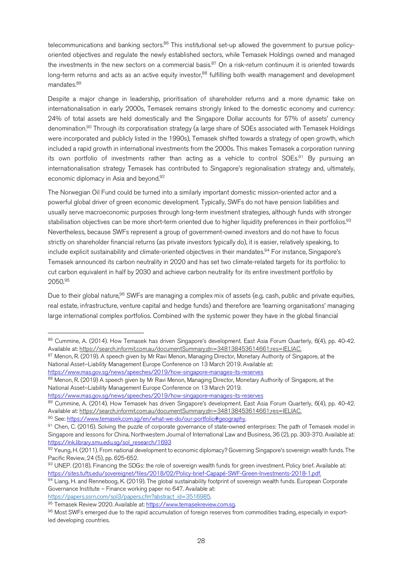telecommunications and banking sectors.<sup>86</sup> This institutional set-up allowed the government to pursue policyoriented objectives and regulate the newly established sectors, while Temasek Holdings owned and managed the investments in the new sectors on a commercial basis.<sup>87</sup> On a risk-return continuum it is oriented towards long-term returns and acts as an active equity investor,<sup>88</sup> fulfilling both wealth management and development mandates.89

Despite a major change in leadership, prioritisation of shareholder returns and a more dynamic take on internationalisation in early 2000s, Temasek remains strongly linked to the domestic economy and currency: 24% of total assets are held domestically and the Singapore Dollar accounts for 57% of assets' currency denomination.90 Through its corporatisation strategy (a large share of SOEs associated with Temasek Holdings were incorporated and publicly listed in the 1990s), Temasek shifted towards a strategy of open growth, which included a rapid growth in international investments from the 2000s. This makes Temasek a corporation running its own portfolio of investments rather than acting as a vehicle to control SOEs.<sup>91</sup> By pursuing an internationalisation strategy Temasek has contributed to Singapore's regionalisation strategy and, ultimately, economic diplomacy in Asia and beyond.92

The Norwegian Oil Fund could be turned into a similarly important domestic mission-oriented actor and a powerful global driver of green economic development. Typically, SWFs do not have pension liabilities and usually serve macroeconomic purposes through long-term investment strategies, although funds with stronger stabilisation objectives can be more short-term oriented due to higher liquidity preferences in their portfolios.<sup>93</sup> Nevertheless, because SWFs represent a group of government-owned investors and do not have to focus strictly on shareholder financial returns (as private investors typically do), it is easier, relatively speaking, to include explicit sustainability and climate-oriented objectives in their mandates.<sup>94</sup> For instance, Singapore's Temasek announced its carbon neutrality in 2020 and has set two climate-related targets for its portfolio: to cut carbon equivalent in half by 2030 and achieve carbon neutrality for its entire investment portfolio by 2050.95

Due to their global nature,<sup>96</sup> SWFs are managing a complex mix of assets (e.g. cash, public and private equities, real estate, infrastructure, venture capital and hedge funds) and therefore are 'learning organisations' managing large international complex portfolios. Combined with the systemic power they have in the global financial

https://papers.ssrn.com/sol3/papers.cfm?abstract\_id=3516985.

<sup>86</sup> Cummine, A. (2014). How Temasek has driven Singapore's development. East Asia Forum Quarterly, 6(4), pp. 40-42. Available at: https://search.informit.com.au/documentSummary;dn=348138453614661;res=IELIAC.

<sup>87</sup> Menon, R. (2019). A speech given by Mr Ravi Menon, Managing Director, Monetary Authority of Singapore, at the National Asset–Liability Management Europe Conference on 13 March 2019. Available at: https://www.mas.gov.sg/news/speeches/2019/how-singapore-manages-its-reserves

<sup>88</sup> Menon, R. (2019) A speech given by Mr Ravi Menon, Managing Director, Monetary Authority of Singapore, at the National Asset–Liability Management Europe Conference on 13 March 2019.

https://www.mas.gov.sg/news/speeches/2019/how-singapore-manages-its-reserves

<sup>89</sup> Cummine, A. (2014). How Temasek has driven Singapore's development. East Asia Forum Quarterly, 6(4), pp. 40-42. Available at: https://search.informit.com.au/documentSummary;dn=348138453614661;res=IELIAC.

<sup>90</sup> See: https://www.temasek.com.sg/en/what-we-do/our-portfolio#geography.

<sup>91</sup> Chen, C. (2016). Solving the puzzle of corporate governance of state-owned enterprises: The path of Temasek model in Singapore and lessons for China. Northwestern Journal of International Law and Business, 36 (2), pp. 303-370. Available at: https://ink.library.smu.edu.sg/sol\_research/1693

 $92$  Yeung, H. (2011). From national development to economic diplomacy? Governing Singapore's sovereign wealth funds. The Pacific Review, 24 (5), pp. 625-652.

<sup>93</sup> UNEP. (2018). Financing the SDGs: the role of sovereign wealth funds for green investment. Policy brief. Available at: https://sites.tufts.edu/sovereignet/files/2018/02/Policy-brief-Capapé-SWF-Green-Investments-2018-1.pdf.

<sup>94</sup> Liang, H. and Renneboog, K. (2019). The global sustainability footprint of sovereign wealth funds. European Corporate Governance Institute – Finance working paper no 647. Available at:

<sup>95</sup> Temasek Review 2020. Available at: https://www.temasekreview.com.sg.

<sup>96</sup> Most SWFs emerged due to the rapid accumulation of foreign reserves from commodities trading, especially in exportled developing countries.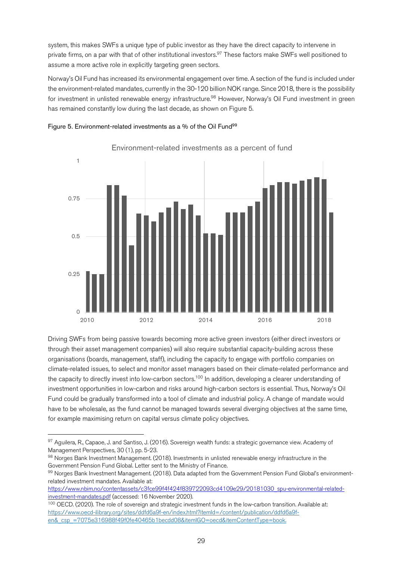system, this makes SWFs a unique type of public investor as they have the direct capacity to intervene in private firms, on a par with that of other institutional investors.<sup>97</sup> These factors make SWFs well positioned to assume a more active role in explicitly targeting green sectors.

Norway's Oil Fund has increased its environmental engagement over time. A section of the fund is included under the environment-related mandates, currently in the 30-120 billion NOK range. Since 2018, there is the possibility for investment in unlisted renewable energy infrastructure.<sup>98</sup> However, Norway's Oil Fund investment in green has remained constantly low during the last decade, as shown on Figure 5.





Environment-related investments as a percent of fund

Driving SWFs from being passive towards becoming more active green investors (either direct investors or through their asset management companies) will also require substantial capacity-building across these organisations (boards, management, staff), including the capacity to engage with portfolio companies on climate-related issues, to select and monitor asset managers based on their climate-related performance and the capacity to directly invest into low-carbon sectors.<sup>100</sup> In addition, developing a clearer understanding of investment opportunities in low-carbon and risks around high-carbon sectors is essential. Thus, Norway's Oil Fund could be gradually transformed into a tool of climate and industrial policy. A change of mandate would have to be wholesale, as the fund cannot be managed towards several diverging objectives at the same time, for example maximising return on capital versus climate policy objectives.

https://www.nbim.no/contentassets/c3fce99f4f424f839722093cd4109e29/20181030\_spu-environmental-relatedinvestment-mandates.pdf (accessed: 16 November 2020).

<sup>97</sup> Aguilera, R., Capaoe, J. and Santiso, J. (2016). Sovereign wealth funds: a strategic governance view. Academy of Management Perspectives, 30 (1), pp. 5-23.<br><sup>98</sup> Norges Bank Investment Management. (2018). Investments in unlisted renewable energy infrastructure in the

Government Pension Fund Global. Letter sent to the Ministry of Finance.<br><sup>99</sup> Norges Bank Investment Management. (2018). Data adapted from the Government Pension Fund Global's environment-

related investment mandates. Available at:

<sup>&</sup>lt;sup>100</sup> OECD. (2020). The role of sovereign and strategic investment funds in the low-carbon transition. Available at: https://www.oecd-ilibrary.org/sites/ddfd6a9f-en/index.html?itemId=/content/publication/ddfd6a9fen&\_csp\_=7075e316988f49f0fe40465b1becdd08&itemIGO=oecd&itemContentType=book.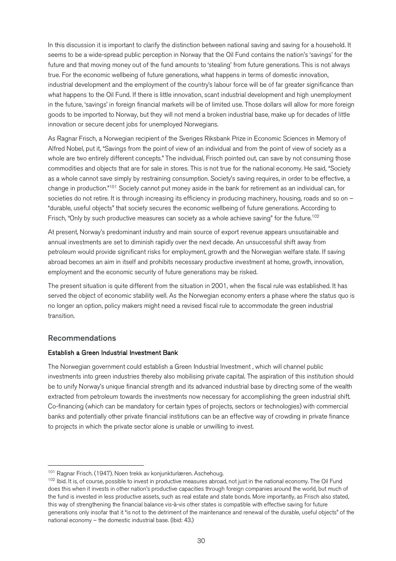In this discussion it is important to clarify the distinction between national saving and saving for a household. It seems to be a wide-spread public perception in Norway that the Oil Fund contains the nation's 'savings' for the future and that moving money out of the fund amounts to 'stealing' from future generations. This is not always true. For the economic wellbeing of future generations, what happens in terms of domestic innovation, industrial development and the employment of the country's labour force will be of far greater significance than what happens to the Oil Fund. If there is little innovation, scant industrial development and high unemployment in the future, 'savings' in foreign financial markets will be of limited use. Those dollars will allow for more foreign goods to be imported to Norway, but they will not mend a broken industrial base, make up for decades of little innovation or secure decent jobs for unemployed Norwegians.

As Ragnar Frisch, a Norwegian recipient of the Sveriges Riksbank Prize in Economic Sciences in Memory of Alfred Nobel, put it, "Savings from the point of view of an individual and from the point of view of society as a whole are two entirely different concepts." The individual, Frisch pointed out, can save by not consuming those commodities and objects that are for sale in stores. This is not true for the national economy. He said, "Society as a whole cannot save simply by restraining consumption. Society's saving requires, in order to be effective, a change in production."<sup>101</sup> Society cannot put money aside in the bank for retirement as an individual can, for societies do not retire. It is through increasing its efficiency in producing machinery, housing, roads and so on – "durable, useful objects" that society secures the economic wellbeing of future generations. According to Frisch, "Only by such productive measures can society as a whole achieve saving" for the future.<sup>102</sup>

At present, Norway's predominant industry and main source of export revenue appears unsustainable and annual investments are set to diminish rapidly over the next decade. An unsuccessful shift away from petroleum would provide significant risks for employment, growth and the Norwegian welfare state. If saving abroad becomes an aim in itself and prohibits necessary productive investment at home, growth, innovation, employment and the economic security of future generations may be risked.

The present situation is quite different from the situation in 2001, when the fiscal rule was established. It has served the object of economic stability well. As the Norwegian economy enters a phase where the status quo is no longer an option, policy makers might need a revised fiscal rule to accommodate the green industrial transition.

#### Recommendations

#### Establish a Green Industrial Investment Bank

The Norwegian government could establish a Green Industrial Investment , which will channel public investments into green industries thereby also mobilising private capital. The aspiration of this institution should be to unify Norway's unique financial strength and its advanced industrial base by directing some of the wealth extracted from petroleum towards the investments now necessary for accomplishing the green industrial shift. Co-financing (which can be mandatory for certain types of projects, sectors or technologies) with commercial banks and potentially other private financial institutions can be an effective way of crowding in private finance to projects in which the private sector alone is unable or unwilling to invest.

<sup>&</sup>lt;sup>101</sup> Ragnar Frisch. (1947). Noen trekk av konjunkturlæren. Aschehoug.<br><sup>102</sup> Ibid. It is, of course, possible to invest in productive measures abroad, not just in the national economy. The Oil Fund does this when it invests in other nation's productive capacities through foreign companies around the world, but much of the fund is invested in less productive assets, such as real estate and state bonds. More importantly, as Frisch also stated, this way of strengthening the financial balance vis-à-vis other states is compatible with effective saving for future generations only insofar that it "is not to the detriment of the maintenance and renewal of the durable, useful objects" of the national economy – the domestic industrial base. (Ibid: 43.)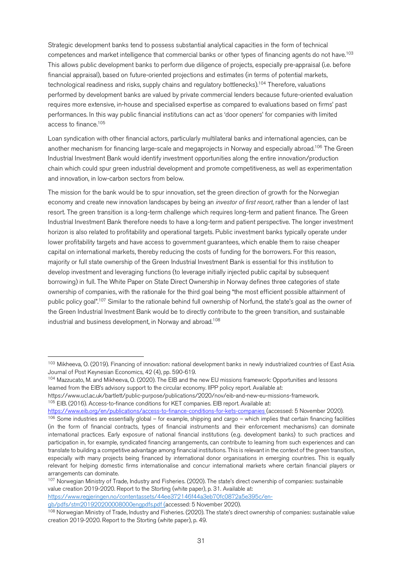Strategic development banks tend to possess substantial analytical capacities in the form of technical competences and market intelligence that commercial banks or other types of financing agents do not have.<sup>103</sup> This allows public development banks to perform due diligence of projects, especially pre-appraisal (i.e. before financial appraisal), based on future-oriented projections and estimates (in terms of potential markets, technological readiness and risks, supply chains and regulatory bottlenecks).104 Therefore, valuations performed by development banks are valued by private commercial lenders because future-oriented evaluation requires more extensive, in-house and specialised expertise as compared to evaluations based on firms' past performances. In this way public financial institutions can act as 'door openers' for companies with limited access to finance.105

Loan syndication with other financial actors, particularly multilateral banks and international agencies, can be another mechanism for financing large-scale and megaprojects in Norway and especially abroad.106 The Green Industrial Investment Bank would identify investment opportunities along the entire innovation/production chain which could spur green industrial development and promote competitiveness, as well as experimentation and innovation, in low-carbon sectors from below.

The mission for the bank would be to spur innovation, set the green direction of growth for the Norwegian economy and create new innovation landscapes by being an *investor of first resort*, rather than a lender of last resort. The green transition is a long-term challenge which requires long-term and patient finance. The Green Industrial Investment Bank therefore needs to have a long-term and patient perspective. The longer investment horizon is also related to profitability and operational targets. Public investment banks typically operate under lower profitability targets and have access to government guarantees, which enable them to raise cheaper capital on international markets, thereby reducing the costs of funding for the borrowers. For this reason, majority or full state ownership of the Green Industrial Investment Bank is essential for this institution to develop investment and leveraging functions (to leverage initially injected public capital by subsequent borrowing) in full. The White Paper on State Direct Ownership in Norway defines three categories of state ownership of companies, with the rationale for the third goal being "the most efficient possible attainment of public policy goal".<sup>107</sup> Similar to the rationale behind full ownership of Norfund, the state's goal as the owner of the Green Industrial Investment Bank would be to directly contribute to the green transition, and sustainable industrial and business development, in Norway and abroad.<sup>108</sup>

<sup>105</sup> EIB. (2016). Access-to-finance conditions for KET companies. EIB report. Available at:

https://www.regjeringen.no/contentassets/44ee372146f44a3eb70fc0872a5e395c/en-<br>gb/pdfs/stm201920200008000engpdfs.pdf (accessed: 5 November 2020).

<sup>103</sup> Mikheeva, O. (2019). Financing of innovation: national development banks in newly industrialized countries of East Asia. Journal of Post Keynesian Economics, 42 (4), pp. 590-619.<br><sup>104</sup> Mazzucato, M. and Mikheeva, O. (2020). The EIB and the new EU missions framework: Opportunities and lessons

learned from the EIB's advisory support to the circular economy. IIPP policy report. Available at:

https://www.ucl.ac.uk/bartlett/public-purpose/publications/2020/nov/eib-and-new-eu-missions-framework.

https://www.eib.org/en/publications/access-to-finance-conditions-for-kets-companies (accessed: 5 November 2020).

 $106$  Some industries are essentially global – for example, shipping and cargo – which implies that certain financing facilities (in the form of financial contracts, types of financial instruments and their enforcement mechanisms) can dominate international practices. Early exposure of national financial institutions (e.g. development banks) to such practices and participation in, for example, syndicated financing arrangements, can contribute to learning from such experiences and can translate to building a competitive advantage among financial institutions. This is relevant in the context of the green transition, especially with many projects being financed by international donor organisations in emerging countries. This is equally relevant for helping domestic firms internationalise and concur international markets where certain financial players or arrangements can dominate.

<sup>&</sup>lt;sup>107</sup> Norwegian Ministry of Trade, Industry and Fisheries. (2020). The state's direct ownership of companies: sustainable value creation 2019-2020. Report to the Storting (white paper), p. 31. Available at:

<sup>&</sup>lt;sup>108</sup> Norwegian Ministry of Trade, Industry and Fisheries. (2020). The state's direct ownership of companies: sustainable value creation 2019-2020. Report to the Storting (white paper), p. 49.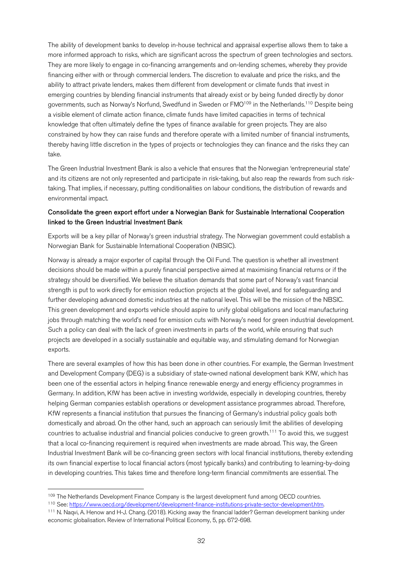The ability of development banks to develop in-house technical and appraisal expertise allows them to take a more informed approach to risks, which are significant across the spectrum of green technologies and sectors. They are more likely to engage in co-financing arrangements and on-lending schemes, whereby they provide financing either with or through commercial lenders. The discretion to evaluate and price the risks, and the ability to attract private lenders, makes them different from development or climate funds that invest in emerging countries by blending financial instruments that already exist or by being funded directly by donor governments, such as Norway's Norfund, Swedfund in Sweden or FMO<sup>109</sup> in the Netherlands.<sup>110</sup> Despite being a visible element of climate action finance, climate funds have limited capacities in terms of technical knowledge that often ultimately define the types of finance available for green projects. They are also constrained by how they can raise funds and therefore operate with a limited number of financial instruments, thereby having little discretion in the types of projects or technologies they can finance and the risks they can take.

The Green Industrial Investment Bank is also a vehicle that ensures that the Norwegian 'entrepreneurial state' and its citizens are not only represented and participate in risk-taking, but also reap the rewards from such risktaking. That implies, if necessary, putting conditionalities on labour conditions, the distribution of rewards and environmental impact.

#### Consolidate the green export effort under a Norwegian Bank for Sustainable International Cooperation linked to the Green Industrial Investment Bank

Exports will be a key pillar of Norway's green industrial strategy. The Norwegian government could establish a Norwegian Bank for Sustainable International Cooperation (NBSIC).

Norway is already a major exporter of capital through the Oil Fund. The question is whether all investment decisions should be made within a purely financial perspective aimed at maximising financial returns or if the strategy should be diversified. We believe the situation demands that some part of Norway's vast financial strength is put to work directly for emission reduction projects at the global level, and for safeguarding and further developing advanced domestic industries at the national level. This will be the mission of the NBSIC. This green development and exports vehicle should aspire to unify global obligations and local manufacturing jobs through matching the world's need for emission cuts with Norway's need for green industrial development. Such a policy can deal with the lack of green investments in parts of the world, while ensuring that such projects are developed in a socially sustainable and equitable way, and stimulating demand for Norwegian exports.

There are several examples of how this has been done in other countries. For example, the German Investment and Development Company (DEG) is a subsidiary of state-owned national development bank KfW, which has been one of the essential actors in helping finance renewable energy and energy efficiency programmes in Germany. In addition, KfW has been active in investing worldwide, especially in developing countries, thereby helping German companies establish operations or development assistance programmes abroad. Therefore, KfW represents a financial institution that pursues the financing of Germany's industrial policy goals both domestically and abroad. On the other hand, such an approach can seriously limit the abilities of developing countries to actualise industrial and financial policies conducive to green growth.<sup>111</sup> To avoid this, we suggest that a local co-financing requirement is required when investments are made abroad. This way, the Green Industrial Investment Bank will be co-financing green sectors with local financial institutions, thereby extending its own financial expertise to local financial actors (most typically banks) and contributing to learning-by-doing in developing countries. This takes time and therefore long-term financial commitments are essential. The

<sup>&</sup>lt;sup>109</sup> The Netherlands Development Finance Company is the largest development fund among OECD countries.<br><sup>110</sup> See: https://www.oecd.org/development/development-finance-institutions-private-sector-development.htm.

<sup>111</sup> N. Naqvi, A. Henow and H-J. Chang. (2018). Kicking away the financial ladder? German development banking under economic globalisation. Review of International Political Economy, 5, pp. 672-698.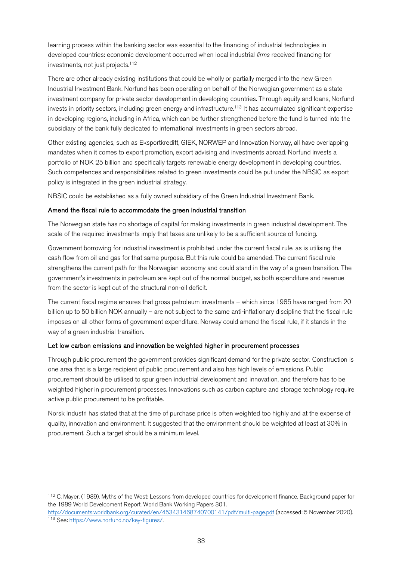learning process within the banking sector was essential to the financing of industrial technologies in developed countries: economic development occurred when local industrial *firms* received financing for investments, not just projects. $112$ 

There are other already existing institutions that could be wholly or partially merged into the new Green Industrial Investment Bank. Norfund has been operating on behalf of the Norwegian government as a state investment company for private sector development in developing countries. Through equity and loans, Norfund invests in priority sectors, including green energy and infrastructure.<sup>113</sup> It has accumulated significant expertise in developing regions, including in Africa, which can be further strengthened before the fund is turned into the subsidiary of the bank fully dedicated to international investments in green sectors abroad.

Other existing agencies, such as Eksportkreditt, GIEK, NORWEP and Innovation Norway, all have overlapping mandates when it comes to export promotion, export advising and investments abroad. Norfund invests a portfolio of NOK 25 billion and specifically targets renewable energy development in developing countries. Such competences and responsibilities related to green investments could be put under the NBSIC as export policy is integrated in the green industrial strategy.

NBSIC could be established as a fully owned subsidiary of the Green Industrial Investment Bank.

#### Amend the fiscal rule to accommodate the green industrial transition

The Norwegian state has no shortage of capital for making investments in green industrial development. The scale of the required investments imply that taxes are unlikely to be a sufficient source of funding.

Government borrowing for industrial investment is prohibited under the current fiscal rule, as is utilising the cash flow from oil and gas for that same purpose. But this rule could be amended. The current fiscal rule strengthens the current path for the Norwegian economy and could stand in the way of a green transition. The government's investments in petroleum are kept out of the normal budget, as both expenditure and revenue from the sector is kept out of the structural non-oil deficit.

The current fiscal regime ensures that gross petroleum investments – which since 1985 have ranged from 20 billion up to 50 billion NOK annually – are not subject to the same anti-inflationary discipline that the fiscal rule imposes on all other forms of government expenditure. Norway could amend the fiscal rule, if it stands in the way of a green industrial transition.

#### Let low carbon emissions and innovation be weighted higher in procurement processes

Through public procurement the government provides significant demand for the private sector. Construction is one area that is a large recipient of public procurement and also has high levels of emissions. Public procurement should be utilised to spur green industrial development and innovation, and therefore has to be weighted higher in procurement processes. Innovations such as carbon capture and storage technology require active public procurement to be profitable.

Norsk Industri has stated that at the time of purchase price is often weighted too highly and at the expense of quality, innovation and environment. It suggested that the environment should be weighted at least at 30% in procurement. Such a target should be a minimum level.

 <sup>112</sup> C. Mayer. (1989). Myths of the West: Lessons from developed countries for development finance. Background paper for the 1989 World Development Report. World Bank Working Papers 301.

http://documents.worldbank.org/curated/en/453431468740700141/pdf/multi-page.pdf (accessed: 5 November 2020).<br><sup>113</sup> See: https://www.norfund.no/kev-figures/.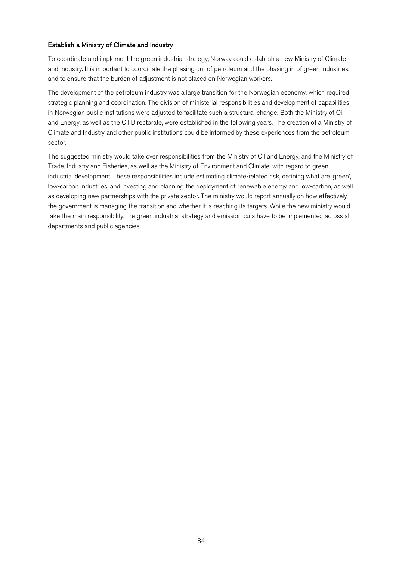#### Establish a Ministry of Climate and Industry

To coordinate and implement the green industrial strategy, Norway could establish a new Ministry of Climate and Industry. It is important to coordinate the phasing out of petroleum and the phasing in of green industries, and to ensure that the burden of adjustment is not placed on Norwegian workers.

The development of the petroleum industry was a large transition for the Norwegian economy, which required strategic planning and coordination. The division of ministerial responsibilities and development of capabilities in Norwegian public institutions were adjusted to facilitate such a structural change. Both the Ministry of Oil and Energy, as well as the Oil Directorate, were established in the following years. The creation of a Ministry of Climate and Industry and other public institutions could be informed by these experiences from the petroleum sector.

The suggested ministry would take over responsibilities from the Ministry of Oil and Energy, and the Ministry of Trade, Industry and Fisheries, as well as the Ministry of Environment and Climate, with regard to green industrial development. These responsibilities include estimating climate-related risk, defining what are 'green', low-carbon industries, and investing and planning the deployment of renewable energy and low-carbon, as well as developing new partnerships with the private sector. The ministry would report annually on how effectively the government is managing the transition and whether it is reaching its targets. While the new ministry would take the main responsibility, the green industrial strategy and emission cuts have to be implemented across all departments and public agencies.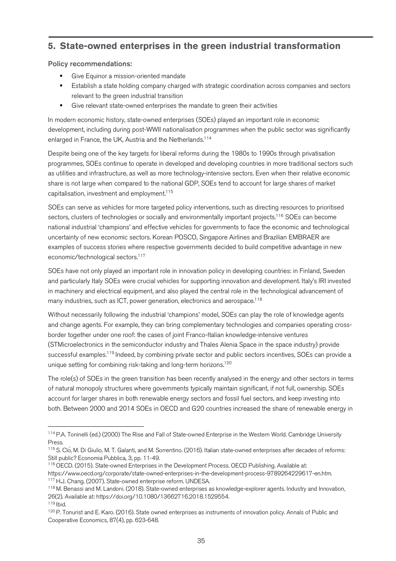## **5. State-owned enterprises in the green industrial transformation**

#### Policy recommendations:

- Give Equinor a mission-oriented mandate
- Establish a state holding company charged with strategic coordination across companies and sectors relevant to the green industrial transition
- Give relevant state-owned enterprises the mandate to green their activities

In modern economic history, state-owned enterprises (SOEs) played an important role in economic development, including during post-WWII nationalisation programmes when the public sector was significantly enlarged in France, the UK, Austria and the Netherlands.<sup>114</sup>

Despite being one of the key targets for liberal reforms during the 1980s to 1990s through privatisation programmes, SOEs continue to operate in developed and developing countries in more traditional sectors such as utilities and infrastructure, as well as more technology-intensive sectors. Even when their relative economic share is not large when compared to the national GDP, SOEs tend to account for large shares of market capitalisation, investment and employment.115

SOEs can serve as vehicles for more targeted policy interventions, such as directing resources to prioritised sectors, clusters of technologies or socially and environmentally important projects.<sup>116</sup> SOEs can become national industrial 'champions' and effective vehicles for governments to face the economic and technological uncertainty of new economic sectors. Korean POSCO, Singapore Airlines and Brazilian EMBRAER are examples of success stories where respective governments decided to build competitive advantage in new economic/technological sectors.<sup>117</sup>

SOEs have not only played an important role in innovation policy in developing countries: in Finland, Sweden and particularly Italy SOEs were crucial vehicles for supporting innovation and development. Italy's IRI invested in machinery and electrical equipment, and also played the central role in the technological advancement of many industries, such as ICT, power generation, electronics and aerospace.<sup>118</sup>

Without necessarily following the industrial 'champions' model, SOEs can play the role of knowledge agents and change agents. For example, they can bring complementary technologies and companies operating crossborder together under one roof: the cases of joint Franco-Italian knowledge-intensive ventures (STMicroelectronics in the semiconductor industry and Thales Alenia Space in the space industry) provide successful examples.<sup>119</sup> Indeed, by combining private sector and public sectors incentives, SOEs can provide a unique setting for combining risk-taking and long-term horizons.<sup>120</sup>

The role(s) of SOEs in the green transition has been recently analysed in the energy and other sectors in terms of natural monopoly structures where governments typically maintain significant, if not full, ownership. SOEs account for larger shares in both renewable energy sectors and fossil fuel sectors, and keep investing into both. Between 2000 and 2014 SOEs in OECD and G20 countries increased the share of renewable energy in

https://www.oecd.org/corporate/state-owned-enterprises-in-the-development-process-9789264229617-en.htm. <sup>117</sup> H.J. Chang. (2007). State-owned enterprise reform. UNDESA.<br><sup>118</sup> M. Benassi and M. Landoni. (2018). State-owned enterprises as knowledge-explorer agents. Industry and Innovation,

<sup>&</sup>lt;sup>114</sup> P.A. Toninelli (ed.) (2000) The Rise and Fall of State-owned Enterprise in the Western World. Cambridge University Press.

<sup>115</sup> S. Clo, M. Di Giulio, M. T. Galanti, and M. Sorrentino. (2016). Italian state-owned enterprises after decades of reforms: Still public? Economia Pubblica, 3, pp. 11-49.<br><sup>116</sup> OECD. (2015). State-owned Enterprises in the Development Process. OECD Publishing. Available at:

<sup>26(2).</sup> Available at: https://doi.org/10.1080/13662716.2018.1529554. <sup>119</sup> Ibid.

<sup>&</sup>lt;sup>120</sup> P. Tonurist and E. Karo. (2016). State owned enterprises as instruments of innovation policy. Annals of Public and Cooperative Economics, 87(4), pp. 623-648.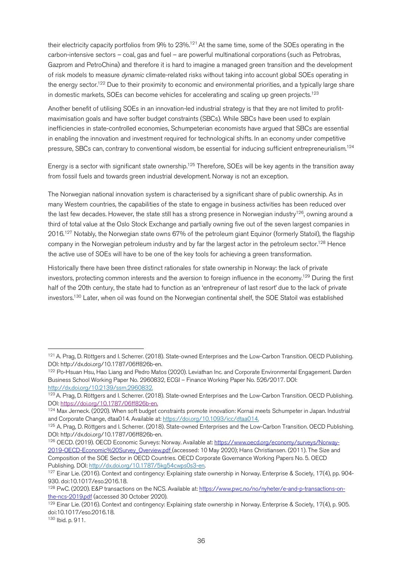their electricity capacity portfolios from 9% to  $23\%$ <sup>121</sup> At the same time, some of the SOEs operating in the carbon-intensive sectors – coal, gas and fuel – are powerful multinational corporations (such as Petrobras, Gazprom and PetroChina) and therefore it is hard to imagine a managed green transition and the development of risk models to measure *dynamic* climate-related risks without taking into account global SOEs operating in the energy sector.<sup>122</sup> Due to their proximity to economic and environmental priorities, and a typically large share in domestic markets, SOEs can become vehicles for accelerating and scaling up green projects.<sup>123</sup>

Another benefit of utilising SOEs in an innovation-led industrial strategy is that they are not limited to profitmaximisation goals and have softer budget constraints (SBCs). While SBCs have been used to explain inefficiencies in state-controlled economies, Schumpeterian economists have argued that SBCs are essential in enabling the innovation and investment required for technological shifts. In an economy under competitive pressure, SBCs can, contrary to conventional wisdom, be essential for inducing sufficient entrepreneurialism.<sup>124</sup>

Energy is a sector with significant state ownership.<sup>125</sup> Therefore, SOEs will be key agents in the transition away from fossil fuels and towards green industrial development. Norway is not an exception.

The Norwegian national innovation system is characterised by a significant share of public ownership. As in many Western countries, the capabilities of the state to engage in business activities has been reduced over the last few decades. However, the state still has a strong presence in Norwegian industry<sup>126</sup>, owning around a third of total value at the Oslo Stock Exchange and partially owning five out of the seven largest companies in 2016.127 Notably, the Norwegian state owns 67% of the petroleum giant Equinor (formerly Statoil), the flagship company in the Norwegian petroleum industry and by far the largest actor in the petroleum sector.<sup>128</sup> Hence the active use of SOEs will have to be one of the key tools for achieving a green transformation.

Historically there have been three distinct rationales for state ownership in Norway: the lack of private investors, protecting common interests and the aversion to foreign influence in the economy.129 During the first half of the 20th century, the state had to function as an 'entrepreneur of last resort' due to the lack of private investors.130 Later, when oil was found on the Norwegian continental shelf, the SOE Statoil was established

 <sup>121</sup> A. Prag, D. Röttgers and I. Scherrer. (2018). State-owned Enterprises and the Low-Carbon Transition. OECD Publishing. DOI: http://dx.doi.org/10.1787/06ff826b-en.

<sup>&</sup>lt;sup>122</sup> Po-Hsuan Hsu, Hao Liang and Pedro Matos (2020). Leviathan Inc. and Corporate Environmental Engagement. Darden Business School Working Paper No. 2960832, ECGI – Finance Working Paper No. 526/2017. DOI: http://dx.doi.org/10.2139/ssrn.2960832.

<sup>123</sup> A. Prag, D. Röttgers and I. Scherrer. (2018). State-owned Enterprises and the Low-Carbon Transition. OECD Publishing. DOI: https://doi.org/10.1787/06ff826b-en.

<sup>124</sup> Max Jerneck. (2020). When soft budget constraints promote innovation: Kornai meets Schumpeter in Japan. Industrial and Corporate Change, dtaa014. Available at: https://doi.org/10.1093/icc/dtaa014.

<sup>&</sup>lt;sup>125</sup> A. Prag, D. Röttgers and I. Scherrer. (2018). State-owned Enterprises and the Low-Carbon Transition. OECD Publishing. DOI: http://dx.doi.org/10.1787/06ff826b-en.

<sup>126</sup> OECD. (2019). OECD Economic Surveys: Norway. Available at: https://www.oecd.org/economy/surveys/Norway-2019-OECD-Economic%20Survey\_Overview.pdf (accessed: 10 May 2020); Hans Christiansen. (2011). The Size and Composition of the SOE Sector in OECD Countries. OECD Corporate Governance Working Papers No. 5. OECD Publishing. DOI: http://dx.doi.org/10.1787/5kg54cwps0s3-en.

 $127$  Einar Lie. (2016). Context and contingency: Explaining state ownership in Norway. Enterprise & Society, 17(4), pp. 904-930. doi:10.1017/eso.2016.18.

<sup>&</sup>lt;sup>128</sup> PwC. (2020). E&P transactions on the NCS. Available at: https://www.pwc.no/no/nyheter/e-and-p-transactions-onthe-ncs-2019.pdf (accessed 30 October 2020).

<sup>&</sup>lt;sup>129</sup> Einar Lie. (2016). Context and contingency: Explaining state ownership in Norway. Enterprise & Society, 17(4), p. 905. doi:10.1017/eso.2016.18.

<sup>130</sup> Ibid. p. 911.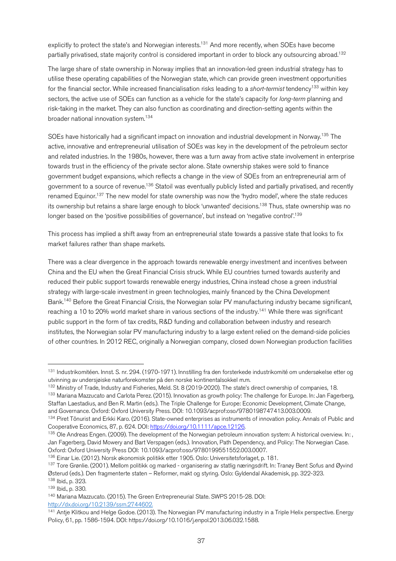explicitly to protect the state's and Norwegian interests.<sup>131</sup> And more recently, when SOEs have become partially privatised, state majority control is considered important in order to block any outsourcing abroad.132

The large share of state ownership in Norway implies that an innovation-led green industrial strategy has to utilise these operating capabilities of the Norwegian state, which can provide green investment opportunities for the financial sector. While increased financialisation risks leading to a *short-termist* tendency<sup>133</sup> within key sectors, the active use of SOEs can function as a vehicle for the state's capacity for *long-term* planning and risk-taking in the market. They can also function as coordinating and direction-setting agents within the broader national innovation system.134

SOEs have historically had a significant impact on innovation and industrial development in Norway.<sup>135</sup> The active, innovative and entrepreneurial utilisation of SOEs was key in the development of the petroleum sector and related industries. In the 1980s, however, there was a turn away from active state involvement in enterprise towards trust in the efficiency of the private sector alone. State ownership stakes were sold to finance government budget expansions, which reflects a change in the view of SOEs from an entrepreneurial arm of government to a source of revenue.<sup>136</sup> Statoil was eventually publicly listed and partially privatised, and recently renamed Equinor.<sup>137</sup> The new model for state ownership was now the 'hydro model', where the state reduces its ownership but retains a share large enough to block 'unwanted' decisions.<sup>138</sup> Thus, state ownership was no longer based on the 'positive possibilities of governance', but instead on 'negative control'. 139

This process has implied a shift away from an entrepreneurial state towards a passive state that looks to fix market failures rather than shape markets.

There was a clear divergence in the approach towards renewable energy investment and incentives between China and the EU when the Great Financial Crisis struck. While EU countries turned towards austerity and reduced their public support towards renewable energy industries, China instead chose a green industrial strategy with large-scale investment in green technologies, mainly financed by the China Development Bank.140 Before the Great Financial Crisis, the Norwegian solar PV manufacturing industry became significant, reaching a 10 to 20% world market share in various sections of the industry.<sup>141</sup> While there was significant public support in the form of tax credits, R&D funding and collaboration between industry and research institutes, the Norwegian solar PV manufacturing industry to a large extent relied on the demand-side policies of other countries. In 2012 REC, originally a Norwegian company, closed down Norwegian production facilities

<sup>&</sup>lt;sup>131</sup> Industrikomitéen. Innst. S. nr. 294. (1970-1971). Innstilling fra den forsterkede industrikomité om undersøkelse etter og utvinning av undersjøiske naturforekomster på den norske kontinentalsokkel m.m.

<sup>&</sup>lt;sup>132</sup> Ministry of Trade, Industry and Fisheries, Meld. St. 8 (2019-2020). The state's direct ownership of companies, 18.<br><sup>133</sup> Mariana Mazzucato and Carlota Perez. (2015). Innovation as growth policy: The challenge for Eur Staffan Laestadius, and Ben R. Martin (eds.). The Triple Challenge for Europe: Economic Development, Climate Change, and Governance. Oxford: Oxford University Press. DOI: 10.1093/acprof:oso/9780198747413.003.0009.

<sup>134</sup> Piret Tõnurist and Erkki Karo. (2016). State-owned enterprises as instruments of innovation policy. Annals of Public and Cooperative Economics, 87, p. 624. DOI: https://doi.org/10.1111/apce.12126.

<sup>&</sup>lt;sup>135</sup> Ole Andreas Engen. (2009). The development of the Norwegian petroleum innovation system: A historical overview. In: Jan Fagerberg, David Mowery and Bart Verspagen (eds.). Innovation, Path Dependency, and Policy: The Norwegian Case. Oxford: Oxford University Press DOI: 10.1093/acprof:oso/9780199551552.003.0007.

<sup>&</sup>lt;sup>136</sup> Einar Lie. (2012). Norsk økonomisk politikk etter 1905. Oslo: Universitetsforlaget, p. 181.<br><sup>137</sup> Tore Grønlie. (2001). Mellom politikk og marked - organisering av statlig næringsdrift. In: Tranøy Bent Sofus and Øyvi Østerud (eds.). Den fragmenterte staten – Reformer, makt og styring. Oslo: Gyldendal Akademisk, pp. 322-323.

<sup>138</sup> Ibid., p. 323.

<sup>139</sup> Ibid., p. 330.

<sup>140</sup> Mariana Mazzucato. (2015). The Green Entrepreneurial State. SWPS 2015-28. DOI: http://dx.doi.org/10.2139/ssrn.2744602.

<sup>&</sup>lt;sup>141</sup> Antje Klitkou and Helge Godoe. (2013). The Norwegian PV manufacturing industry in a Triple Helix perspective. Energy Policy, 61, pp. 1586-1594. DOI: https://doi.org/10.1016/j.enpol.2013.06.032.1588.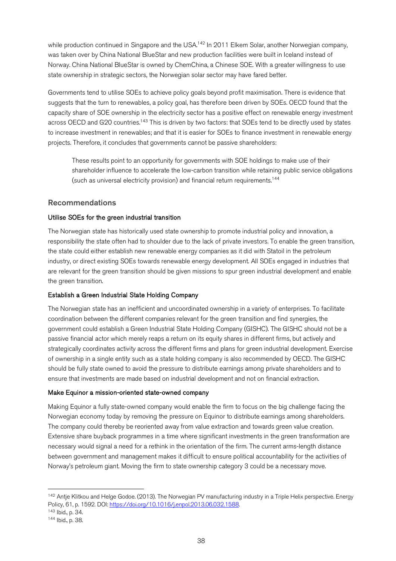while production continued in Singapore and the USA.<sup>142</sup> In 2011 Elkem Solar, another Norwegian company, was taken over by China National BlueStar and new production facilities were built in Iceland instead of Norway. China National BlueStar is owned by ChemChina, a Chinese SOE. With a greater willingness to use state ownership in strategic sectors, the Norwegian solar sector may have fared better.

Governments tend to utilise SOEs to achieve policy goals beyond profit maximisation. There is evidence that suggests that the turn to renewables, a policy goal, has therefore been driven by SOEs. OECD found that the capacity share of SOE ownership in the electricity sector has a positive effect on renewable energy investment across OECD and G20 countries.<sup>143</sup> This is driven by two factors: that SOEs tend to be directly used by states to increase investment in renewables; and that it is easier for SOEs to finance investment in renewable energy projects. Therefore, it concludes that governments cannot be passive shareholders:

These results point to an opportunity for governments with SOE holdings to make use of their shareholder influence to accelerate the low-carbon transition while retaining public service obligations (such as universal electricity provision) and financial return requirements.144

#### Recommendations

#### Utilise SOEs for the green industrial transition

The Norwegian state has historically used state ownership to promote industrial policy and innovation, a responsibility the state often had to shoulder due to the lack of private investors. To enable the green transition, the state could either establish new renewable energy companies as it did with Statoil in the petroleum industry, or direct existing SOEs towards renewable energy development. All SOEs engaged in industries that are relevant for the green transition should be given missions to spur green industrial development and enable the green transition.

#### Establish a Green Industrial State Holding Company

The Norwegian state has an inefficient and uncoordinated ownership in a variety of enterprises. To facilitate coordination between the different companies relevant for the green transition and find synergies, the government could establish a Green Industrial State Holding Company (GISHC). The GISHC should not be a passive financial actor which merely reaps a return on its equity shares in different firms, but actively and strategically coordinates activity across the different firms and plans for green industrial development. Exercise of ownership in a single entity such as a state holding company is also recommended by OECD. The GISHC should be fully state owned to avoid the pressure to distribute earnings among private shareholders and to ensure that investments are made based on industrial development and not on financial extraction.

#### Make Equinor a mission-oriented state-owned company

Making Equinor a fully state-owned company would enable the firm to focus on the big challenge facing the Norwegian economy today by removing the pressure on Equinor to distribute earnings among shareholders. The company could thereby be reoriented away from value extraction and towards green value creation. Extensive share buyback programmes in a time where significant investments in the green transformation are necessary would signal a need for a rethink in the orientation of the firm. The current arms-length distance between government and management makes it difficult to ensure political accountability for the activities of Norway's petroleum giant. Moving the firm to state ownership category 3 could be a necessary move.

<sup>&</sup>lt;sup>142</sup> Antje Klitkou and Helge Godoe. (2013). The Norwegian PV manufacturing industry in a Triple Helix perspective. Energy Policy, 61, p. 1592. DOI: https://doi.org/10.1016/j.enpol.2013.06.032.1588.<br><sup>143</sup> Ibid., p. 34.

<sup>144</sup> Ibid., p. 38.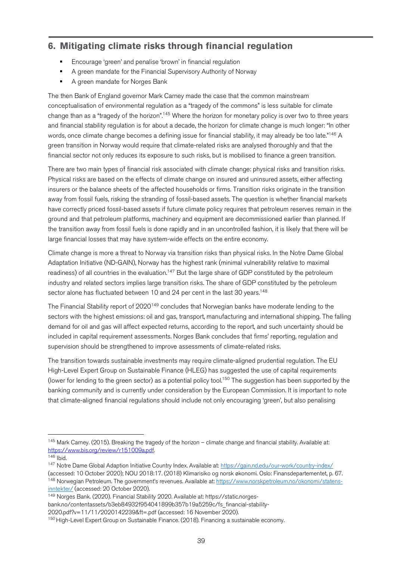## **6. Mitigating climate risks through financial regulation**

- § Encourage 'green' and penalise 'brown' in financial regulation
- A green mandate for the Financial Supervisory Authority of Norway
- § A green mandate for Norges Bank

The then Bank of England governor Mark Carney made the case that the common mainstream conceptualisation of environmental regulation as a "tragedy of the commons" is less suitable for climate change than as a "tragedy of the horizon".145 Where the horizon for monetary policy is over two to three years and financial stability regulation is for about a decade, the horizon for climate change is much longer: "In other words, once climate change becomes a defining issue for financial stability, it may already be too late."<sup>146</sup> A green transition in Norway would require that climate-related risks are analysed thoroughly and that the financial sector not only reduces its exposure to such risks, but is mobilised to finance a green transition.

There are two main types of financial risk associated with climate change: physical risks and transition risks. Physical risks are based on the effects of climate change on insured and uninsured assets, either affecting insurers or the balance sheets of the affected households or firms. Transition risks originate in the transition away from fossil fuels, risking the stranding of fossil-based assets. The question is whether financial markets have correctly priced fossil-based assets if future climate policy requires that petroleum reserves remain in the ground and that petroleum platforms, machinery and equipment are decommissioned earlier than planned. If the transition away from fossil fuels is done rapidly and in an uncontrolled fashion, it is likely that there will be large financial losses that may have system-wide effects on the entire economy.

Climate change is more a threat to Norway via transition risks than physical risks. In the Notre Dame Global Adaptation Initiative (ND-GAIN), Norway has the highest rank (minimal vulnerability relative to maximal readiness) of all countries in the evaluation.<sup>147</sup> But the large share of GDP constituted by the petroleum industry and related sectors implies large transition risks. The share of GDP constituted by the petroleum sector alone has fluctuated between 10 and 24 per cent in the last 30 years.<sup>148</sup>

The Financial Stability report of 2020<sup>149</sup> concludes that Norwegian banks have moderate lending to the sectors with the highest emissions: oil and gas, transport, manufacturing and international shipping. The falling demand for oil and gas will affect expected returns, according to the report, and such uncertainty should be included in capital requirement assessments. Norges Bank concludes that firms' reporting, regulation and supervision should be strengthened to improve assessments of climate-related risks.

The transition towards sustainable investments may require climate-aligned prudential regulation. The EU High-Level Expert Group on Sustainable Finance (HLEG) has suggested the use of capital requirements (lower for lending to the green sector) as a potential policy tool.<sup>150</sup> The suggestion has been supported by the banking community and is currently under consideration by the European Commission. It is important to note that climate-aligned financial regulations should include not only encouraging 'green', but also penalising

 $145$  Mark Carney. (2015). Breaking the tragedy of the horizon – climate change and financial stability. Available at: https://www.bis.org/review/r151009a.pdf.

<sup>146</sup> Ibid.

<sup>147</sup> Notre Dame Global Adaption Initiative Country Index. Available at: https://gain.nd.edu/our-work/country-index/ (accessed: 10 October 2020); NOU 2018:17. (2018) Klimarisiko og norsk økonomi. Oslo: Finansdepartementet, p. 67. 148 Norwegian Petroleum. The government's revenues. Available at: https://www.norskpetroleum.no/okonomi/statensinntekter/ (accessed: 20 October 2020).

<sup>149</sup> Norges Bank. (2020). Financial Stability 2020. Available at: https://static.norges-

bank.no/contentassets/b3eb84932f954041899b357b19a5259c/fs\_financial-stability-

<sup>2020.</sup>pdf?v=11/11/2020142239&ft=.pdf (accessed: 16 November 2020).

<sup>&</sup>lt;sup>150</sup> High-Level Expert Group on Sustainable Finance. (2018). Financing a sustainable economy.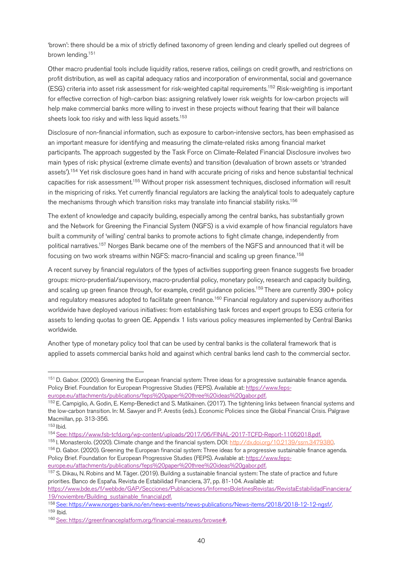'brown': there should be a mix of strictly defined taxonomy of green lending and clearly spelled out degrees of brown lending.151

Other macro prudential tools include liquidity ratios, reserve ratios, ceilings on credit growth, and restrictions on profit distribution, as well as capital adequacy ratios and incorporation of environmental, social and governance (ESG) criteria into asset risk assessment for risk-weighted capital requirements.152 Risk-weighting is important for effective correction of high-carbon bias: assigning relatively lower risk weights for low-carbon projects will help make commercial banks more willing to invest in these projects without fearing that their will balance sheets look too risky and with less liquid assets.<sup>153</sup>

Disclosure of non-financial information, such as exposure to carbon-intensive sectors, has been emphasised as an important measure for identifying and measuring the climate-related risks among financial market participants. The approach suggested by the Task Force on Climate-Related Financial Disclosure involves two main types of risk: physical (extreme climate events) and transition (devaluation of brown assets or 'stranded assets').<sup>154</sup> Yet risk disclosure goes hand in hand with accurate pricing of risks and hence substantial technical capacities for risk assessment.155 Without proper risk assessment techniques, disclosed information will result in the mispricing of risks. Yet currently financial regulators are lacking the analytical tools to adequately capture the mechanisms through which transition risks may translate into financial stability risks.<sup>156</sup>

The extent of knowledge and capacity building, especially among the central banks, has substantially grown and the Network for Greening the Financial System (NGFS) is a vivid example of how financial regulators have built a community of 'willing' central banks to promote actions to fight climate change, independently from political narratives.157 Norges Bank became one of the members of the NGFS and announced that it will be focusing on two work streams within NGFS: macro-financial and scaling up green finance.<sup>158</sup>

A recent survey by financial regulators of the types of activities supporting green finance suggests five broader groups: micro-prudential/supervisory, macro-prudential policy, monetary policy, research and capacity building, and scaling up green finance through, for example, credit guidance policies.<sup>159</sup> There are currently 390+ policy and regulatory measures adopted to facilitate green finance.<sup>160</sup> Financial regulatory and supervisory authorities worldwide have deployed various initiatives: from establishing task forces and expert groups to ESG criteria for assets to lending quotas to green QE. Appendix 1 lists various policy measures implemented by Central Banks worldwide.

Another type of monetary policy tool that can be used by central banks is the collateral framework that is applied to assets commercial banks hold and against which central banks lend cash to the commercial sector.

<sup>&</sup>lt;sup>151</sup> D. Gabor. (2020). Greening the European financial system: Three ideas for a progressive sustainable finance agenda. Policy Brief. Foundation for European Progressive Studies (FEPS). Available at: https://www.fepseurope.eu/attachments/publications/feps%20paper%20three%20ideas%20gabor.pdf.

<sup>152</sup> E. Campiglio, A. Godin, E. Kemp-Benedict and S. Matikainen. (2017). The tightening links between financial systems and the low-carbon transition. In: M. Sawyer and P. Arestis (eds.). Economic Policies since the Global Financial Crisis. Palgrave Macmillan, pp. 313-356.

<sup>153</sup> Ibid.

<sup>154</sup> See: https://www.fsb-tcfd.org/wp-content/uploads/2017/06/FINAL-2017-TCFD-Report-11052018.pdf.

<sup>155</sup> I. Monasterolo. (2020). Climate change and the financial system. DOI: http://dx.doi.org/10.2139/ssrn.3479380.

<sup>&</sup>lt;sup>156</sup> D. Gabor. (2020). Greening the European financial system: Three ideas for a progressive sustainable finance agenda. Policy Brief. Foundation for European Progressive Studies (FEPS). Available at: https://www.fepseurope.eu/attachments/publications/feps%20paper%20three%20ideas%20gabor.pdf.

<sup>&</sup>lt;sup>157</sup> S. Dikau, N. Robins and M. Täger. (2019). Building a sustainable financial system: The state of practice and future priorities. Banco de España. Revista de Estabilidad Financiera, 37, pp. 81-104. Available at:

https://www.bde.es/f/webbde/GAP/Secciones/Publicaciones/InformesBoletinesRevistas/RevistaEstabilidadFinanciera/ 19/noviembre/Building\_sustainable\_financial.pdf.

<sup>158</sup> See: https://www.norges-bank.no/en/news-events/news-publications/News-items/2018/2018-12-12-ngsf/.<br><sup>159</sup> Ibid.

<sup>160</sup> See: https://greenfinanceplatform.org/financial-measures/browse#.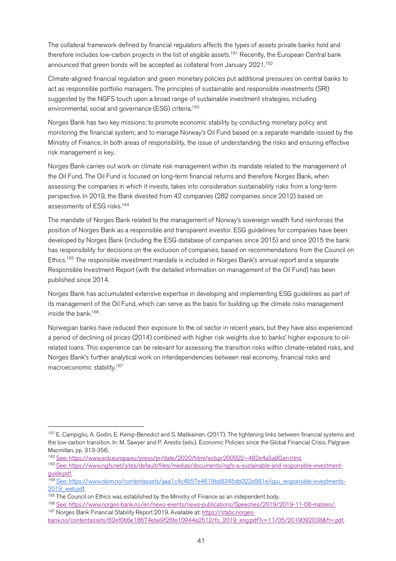The collateral framework defined by financial regulators affects the types of assets private banks hold and therefore includes low-carbon projects in the list of eligible assets.<sup>161</sup> Recently, the European Central bank announced that green bonds will be accepted as collateral from January 2021.<sup>162</sup>

Climate-aligned financial regulation and green monetary policies put additional pressures on central banks to act as responsible portfolio managers. The principles of sustainable and responsible investments (SRI) suggested by the NGFS touch upon a broad range of sustainable investment strategies, including environmental, social and governance (ESG) criteria.<sup>163</sup>

Norges Bank has two key missions: to promote economic stability by conducting monetary policy and monitoring the financial system; and to manage Norway's Oil Fund based on a separate mandate issued by the Ministry of Finance. In both areas of responsibility, the issue of understanding the risks and ensuring effective risk management is key.

Norges Bank carries out work on climate risk management within its mandate related to the management of the Oil Fund. The Oil Fund is focused on long-term financial returns and therefore Norges Bank, when assessing the companies in which it invests, takes into consideration sustainability risks from a long-term perspective. In 2019, the Bank divested from 42 companies (282 companies since 2012) based on assessments of ESG risks. 164

The mandate of Norges Bank related to the management of Norway's sovereign wealth fund reinforces the position of Norges Bank as a responsible and transparent investor. ESG guidelines for companies have been developed by Norges Bank (including the ESG database of companies since 2015) and since 2015 the bank has responsibility for decisions on the exclusion of companies, based on recommendations from the Council on Ethics.<sup>165</sup> The responsible investment mandate is included in Norges Bank's annual report and a separate Responsible Investment Report (with the detailed information on management of the Oil Fund) has been published since 2014.

Norges Bank has accumulated extensive expertise in developing and implementing ESG guidelines as part of its management of the Oil Fund, which can serve as the basis for building up the climate risks management inside the bank.166

Norwegian banks have reduced their exposure to the oil sector in recent years, but they have also experienced a period of declining oil prices (2014) combined with higher risk weights due to banks' higher exposure to oilrelated loans. This experience can be relevant for assessing the transition risks within climate-related risks, and Norges Bank's further analytical work on interdependencies between real economy, financial risks and macroeconomic stability.167

 <sup>161</sup> E. Campiglio, A. Godin, E. Kemp-Benedict and S. Matikainen. (2017). The tightening links between financial systems and the low-carbon transition. In: M. Sawyer and P. Arestis (eds.). Economic Policies since the Global Financial Crisis. Palgrave Macmillan, pp. 313-356.

<sup>162</sup> See: https://www.ecb.europa.eu/press/pr/date/2020/html/ecb.pr200922~482e4a5a90.en.html.

<sup>163</sup> See: https://www.ngfs.net/sites/default/files/medias/documents/ngfs-a-sustainable-and-responsible-investmentguide.pdf.

<sup>164</sup> See: https://www.nbim.no/contentassets/aaa1c4c4557e4619bd8345db022e981e/spu\_responsible-investments-2019\_web.pdf.

<sup>&</sup>lt;sup>165</sup> The Council on Ethics was established by the Ministry of Finance as an independent body.

<sup>166</sup> See: https://www.norges-bank.no/en/news-events/news-publications/Speeches/2019/2019-11-08-matsen/. <sup>167</sup> Norges Bank Financial Stability Report 2019. Available at: https://static.norges-

bank.no/contentassets/62ef0b6e18674ebe9f26fe10944e2512/fs\_2019\_eng.pdf?v=11/05/2019092038&ft=.pdf.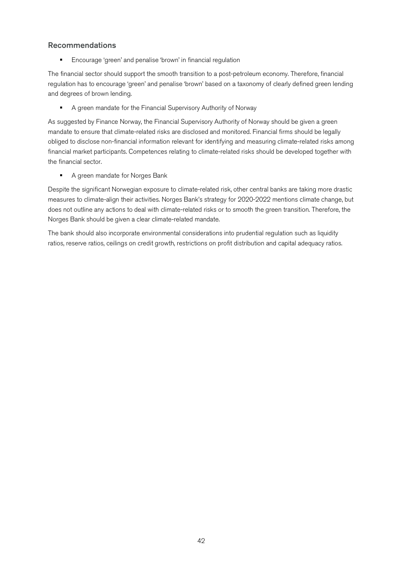#### Recommendations

■ Encourage 'green' and penalise 'brown' in financial regulation

The financial sector should support the smooth transition to a post-petroleum economy. Therefore, financial regulation has to encourage 'green' and penalise 'brown' based on a taxonomy of clearly defined green lending and degrees of brown lending.

■ A green mandate for the Financial Supervisory Authority of Norway

As suggested by Finance Norway, the Financial Supervisory Authority of Norway should be given a green mandate to ensure that climate-related risks are disclosed and monitored. Financial firms should be legally obliged to disclose non-financial information relevant for identifying and measuring climate-related risks among financial market participants. Competences relating to climate-related risks should be developed together with the financial sector.

■ A green mandate for Norges Bank

Despite the significant Norwegian exposure to climate-related risk, other central banks are taking more drastic measures to climate-align their activities. Norges Bank's strategy for 2020-2022 mentions climate change, but does not outline any actions to deal with climate-related risks or to smooth the green transition. Therefore, the Norges Bank should be given a clear climate-related mandate.

The bank should also incorporate environmental considerations into prudential regulation such as liquidity ratios, reserve ratios, ceilings on credit growth, restrictions on profit distribution and capital adequacy ratios.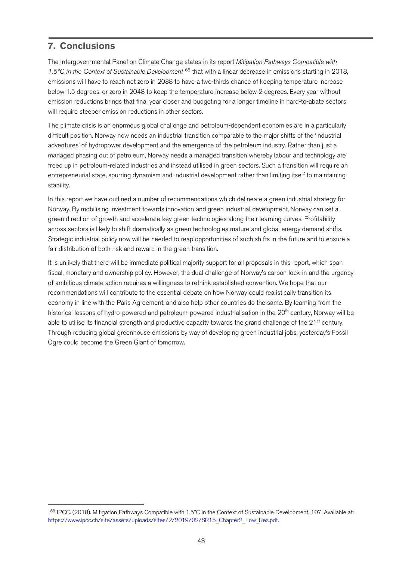## **7. Conclusions**

The Intergovernmental Panel on Climate Change states in its report *Mitigation Pathways Compatible with 1.5°C in the Context of Sustainable Development*<sup>168</sup> that with a linear decrease in emissions starting in 2018, emissions will have to reach net zero in 2038 to have a two-thirds chance of keeping temperature increase below 1.5 degrees, or zero in 2048 to keep the temperature increase below 2 degrees. Every year without emission reductions brings that final year closer and budgeting for a longer timeline in hard-to-abate sectors will require steeper emission reductions in other sectors.

The climate crisis is an enormous global challenge and petroleum-dependent economies are in a particularly difficult position. Norway now needs an industrial transition comparable to the major shifts of the 'industrial adventures' of hydropower development and the emergence of the petroleum industry. Rather than just a managed phasing out of petroleum, Norway needs a managed transition whereby labour and technology are freed up in petroleum-related industries and instead utilised in green sectors. Such a transition will require an entrepreneurial state, spurring dynamism and industrial development rather than limiting itself to maintaining stability.

In this report we have outlined a number of recommendations which delineate a green industrial strategy for Norway. By mobilising investment towards innovation and green industrial development, Norway can set a green direction of growth and accelerate key green technologies along their learning curves. Profitability across sectors is likely to shift dramatically as green technologies mature and global energy demand shifts. Strategic industrial policy now will be needed to reap opportunities of such shifts in the future and to ensure a fair distribution of both risk and reward in the green transition.

It is unlikely that there will be immediate political majority support for all proposals in this report, which span fiscal, monetary and ownership policy. However, the dual challenge of Norway's carbon lock-in and the urgency of ambitious climate action requires a willingness to rethink established convention. We hope that our recommendations will contribute to the essential debate on how Norway could realistically transition its economy in line with the Paris Agreement, and also help other countries do the same. By learning from the historical lessons of hydro-powered and petroleum-powered industrialisation in the 20<sup>th</sup> century, Norway will be able to utilise its financial strength and productive capacity towards the grand challenge of the  $21<sup>st</sup>$  century. Through reducing global greenhouse emissions by way of developing green industrial jobs, yesterday's Fossil Ogre could become the Green Giant of tomorrow.

 <sup>168</sup> IPCC. (2018). Mitigation Pathways Compatible with 1.5°C in the Context of Sustainable Development, 107. Available at: https://www.ipcc.ch/site/assets/uploads/sites/2/2019/02/SR15\_Chapter2\_Low\_Res.pdf.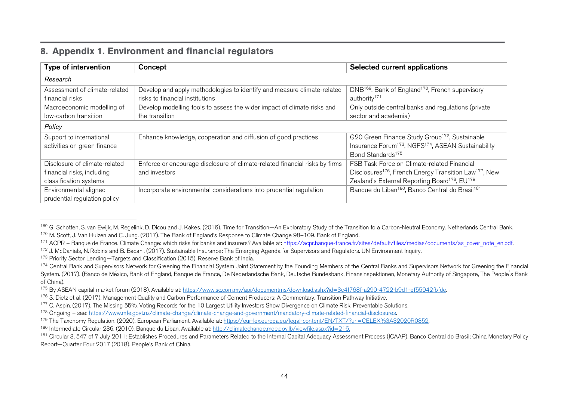|  |  |  | 8. Appendix 1. Environment and financial regulators |  |  |  |
|--|--|--|-----------------------------------------------------|--|--|--|
|--|--|--|-----------------------------------------------------|--|--|--|

| Type of intervention          | Concept                                                                     | Selected current applications                                                  |  |  |  |  |  |  |  |
|-------------------------------|-----------------------------------------------------------------------------|--------------------------------------------------------------------------------|--|--|--|--|--|--|--|
| Research                      |                                                                             |                                                                                |  |  |  |  |  |  |  |
| Assessment of climate-related | Develop and apply methodologies to identify and measure climate-related     | DNB <sup>169</sup> , Bank of England <sup>170</sup> , French supervisory       |  |  |  |  |  |  |  |
| financial risks               | risks to financial institutions                                             | authority <sup>171</sup>                                                       |  |  |  |  |  |  |  |
| Macroeconomic modelling of    | Develop modelling tools to assess the wider impact of climate risks and     | Only outside central banks and regulations (private                            |  |  |  |  |  |  |  |
| low-carbon transition         | the transition                                                              | sector and academia)                                                           |  |  |  |  |  |  |  |
| Policy                        |                                                                             |                                                                                |  |  |  |  |  |  |  |
| Support to international      | Enhance knowledge, cooperation and diffusion of good practices              | G20 Green Finance Study Group <sup>172</sup> , Sustainable                     |  |  |  |  |  |  |  |
| activities on green finance   |                                                                             | Insurance Forum <sup>173</sup> , NGFS <sup>174</sup> , ASEAN Sustainability    |  |  |  |  |  |  |  |
|                               |                                                                             | Bond Standards <sup>175</sup>                                                  |  |  |  |  |  |  |  |
| Disclosure of climate-related | Enforce or encourage disclosure of climate-related financial risks by firms | FSB Task Force on Climate-related Financial                                    |  |  |  |  |  |  |  |
| financial risks, including    | and investors                                                               | Disclosures <sup>176</sup> , French Energy Transition Law <sup>177</sup> , New |  |  |  |  |  |  |  |
| classification systems        |                                                                             | Zealand's External Reporting Board <sup>178</sup> , EU <sup>179</sup>          |  |  |  |  |  |  |  |
| Environmental aligned         | Incorporate environmental considerations into prudential regulation         | Banque du Liban <sup>180</sup> , Banco Central do Brasil <sup>181</sup>        |  |  |  |  |  |  |  |
| prudential regulation policy  |                                                                             |                                                                                |  |  |  |  |  |  |  |

<sup>&</sup>lt;sup>169</sup> G. Schotten, S. van Ewijk, M. Regelink, D. Dicou and J. Kakes. (2016). Time for Transition—An Exploratory Study of the Transition to a Carbon-Neutral Economy. Netherlands Central Bank. 170 M. Scott, J. Van Hulzen and C. Jung. (2017). The Bank of England's Response to Climate Change 98-109. Bank of England.

<sup>&</sup>lt;sup>171</sup> ACPR – Banque de France. Climate Change: which risks for banks and insurers? Available at: https://acpr.banque-france.fr/sites/default/files/medias/documents/as\_cover\_note\_en.pdf.

<sup>&</sup>lt;sup>172</sup> J. McDaniels, N. Robins and B. Bacani. (2017). Sustainable Insurance: The Emerging Agenda for Supervisors and Regulators. UN Environment Inquiry.

<sup>&</sup>lt;sup>173</sup> Priority Sector Lending—Targets and Classification (2015). Reserve Bank of India.

<sup>&</sup>lt;sup>174</sup> Central Bank and Supervisors Network for Greening the Financial System Joint Statement by the Founding Members of the Central Banks and Supervisors Network for Greening the Financial System. (2017). (Banco de México, Bank of England, Banque de France, De Nederlandsche Bank, Deutsche Bundesbank, Finansinspektionen, Monetary Authority of Singapore, The People ́s Bank of China).

<sup>175</sup> By ASEAN capital market forum (2018). Available at: https://www.sc.com.my/api/documentms/download.ashx?id=3c4f768f-a290-4722-b9d1-ef55942fbfde.

<sup>&</sup>lt;sup>176</sup> S. Dietz et al. (2017). Management Quality and Carbon Performance of Cement Producers: A Commentary. Transition Pathway Initiative.

<sup>&</sup>lt;sup>177</sup> C. Aspin. (2017). The Missing 55%. Voting Records for the 10 Largest Utility Investors Show Divergence on Climate Risk. Preventable Solutions.

<sup>178</sup> Ongoing – see: https://www.mfe.govt.nz/climate-change/climate-change-and-government/mandatory-climate-related-financial-disclosures.

<sup>179</sup> The Taxonomy Regulation. (2020). European Parliament. Available at: https://eur-lex.europa.eu/legal-content/EN/TXT/?uri=CELEX%3A32020R0852.

<sup>180</sup> Intermediate Circular 236. (2010). Banque du Liban. Available at: http://climatechange.moe.gov.lb/viewfile.aspx?id=216.

<sup>181</sup> Circular 3, 547 of 7 July 2011: Establishes Procedures and Parameters Related to the Internal Capital Adequacy Assessment Process (ICAAP). Banco Central do Brasil; China Monetary Policy Report—Quarter Four 2017 (2018). People's Bank of China.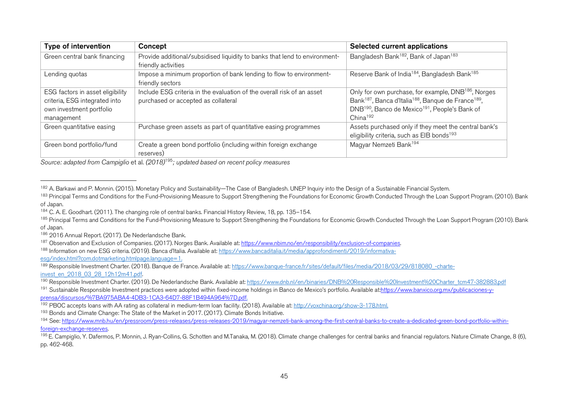| Type of intervention             | Concept                                                                    | Selected current applications                                                           |
|----------------------------------|----------------------------------------------------------------------------|-----------------------------------------------------------------------------------------|
| Green central bank financing     | Provide additional/subsidised liquidity to banks that lend to environment- | Bangladesh Bank <sup>182</sup> , Bank of Japan <sup>183</sup>                           |
|                                  | friendly activities                                                        |                                                                                         |
| Lending quotas                   | Impose a minimum proportion of bank lending to flow to environment-        | Reserve Bank of India <sup>184</sup> , Bangladesh Bank <sup>185</sup>                   |
|                                  | friendly sectors                                                           |                                                                                         |
| ESG factors in asset eligibility | Include ESG criteria in the evaluation of the overall risk of an asset     | Only for own purchase, for example, DNB <sup>186</sup> , Norges                         |
| criteria, ESG integrated into    | purchased or accepted as collateral                                        | Bank <sup>187</sup> , Banca d'Italia <sup>188</sup> , Banque de France <sup>189</sup> , |
| own investment portfolio         |                                                                            | DNB <sup>190</sup> , Banco de Mexico <sup>191</sup> , People's Bank of                  |
| management                       |                                                                            | China <sup>192</sup>                                                                    |
| Green quantitative easing        | Purchase green assets as part of quantitative easing programmes            | Assets purchased only if they meet the central bank's                                   |
|                                  |                                                                            | eligibility criteria, such as EIB bonds <sup>193</sup>                                  |
| Green bond portfolio/fund        | Create a green bond portfolio (including within foreign exchange           | Magyar Nemzeti Bank <sup>194</sup>                                                      |
|                                  | reserves)                                                                  |                                                                                         |

*Source: adapted from Campiglio* et al. *(2018)*<sup>195</sup>*; updated based on recent policy measures*

esg/index.html?com.dotmarketing.htmlpage.language=1.

192 PBOC accepts loans with AA rating as collateral in medium-term loan facility. (2018). Available at: http://voxchina.org/show-3-178.html.

<sup>193</sup> Bonds and Climate Change: The State of the Market in 2017. (2017). Climate Bonds Initiative.

<sup>&</sup>lt;sup>182</sup> A. Barkawi and P. Monnin. (2015). Monetary Policy and Sustainability—The Case of Bangladesh. UNEP Inquiry into the Design of a Sustainable Financial System.<br><sup>183</sup> Principal Terms and Conditions for the Fund-Provision

of Japan.

<sup>184</sup> C. A. E. Goodhart. (2011). The changing role of central banks. Financial History Review, 18, pp. 135–154.

<sup>&</sup>lt;sup>185</sup> Principal Terms and Conditions for the Fund-Provisioning Measure to Support Strengthening the Foundations for Economic Growth Conducted Through the Loan Support Program (2010). Bank of Japan.

<sup>186</sup> 2016 Annual Report. (2017). De Nederlandsche Bank.

<sup>&</sup>lt;sup>187</sup> Observation and Exclusion of Companies. (2017). Norges Bank. Available at: https://www.nbim.no/en/responsibility/exclusion-of-companies.

<sup>188</sup> Information on new ESG criteria. (2019). Banca d'Italia. Available at: https://www.bancaditalia.it/media/approfondimenti/2019/informativa-

<sup>&</sup>lt;sup>189</sup> Responsible Investment Charter. (2018). Banque de France. Available at: https://www.banque-france.fr/sites/default/files/media/2018/03/29/818080 -charteinvest\_en\_2018\_03\_28\_12h12m41.pdf.

<sup>&</sup>lt;sup>190</sup> Responsible Investment Charter. (2019). De Nederlandsche Bank. Available at: https://www.dnb.nl/en/binaries/DNB%20Responsible%20Investment%20Charter\_tcm47-382883.pdf

<sup>&</sup>lt;sup>191</sup> Sustainable Responsible Investment practices were adopted within fixed-income holdings in Banco de Mexico's portfolio. Available at:https://www.banxico.org.mx/publicaciones-vprensa/discursos/%7BA975ABA4-4DB3-1CA3-64D7-88F1B494A964%7D.pdf.

<sup>194</sup> See: https://www.mnb.hu/en/pressroom/press-releases/press-releases-2019/magyar-nemzeti-bank-among-the-first-central-banks-to-create-a-dedicated-green-bond-portfolio-withinforeign-exchange-reserves.

<sup>&</sup>lt;sup>195</sup> E. Campiglio, Y. Dafermos, P. Monnin, J. Ryan-Collins, G. Schotten and M.Tanaka, M. (2018). Climate change challenges for central banks and financial regulators. Nature Climate Change, 8 (6), pp. 462-468.